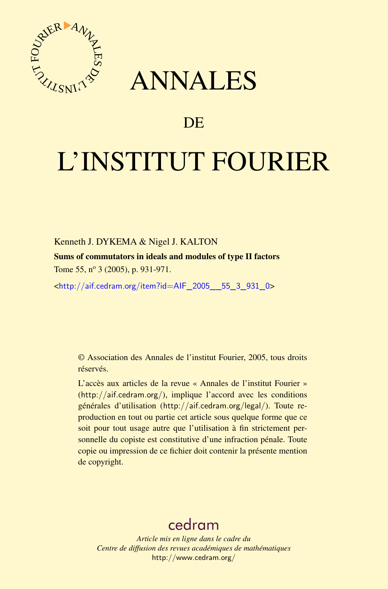



## DE

# L'INSTITUT FOURIER

#### Kenneth J. DYKEMA & Nigel J. KALTON

Sums of commutators in ideals and modules of type II factors Tome 55, nº 3 (2005), p. 931-971.

<[http://aif.cedram.org/item?id=AIF\\_2005\\_\\_55\\_3\\_931\\_0](http://aif.cedram.org/item?id=AIF_2005__55_3_931_0)>

© Association des Annales de l'institut Fourier, 2005, tous droits réservés.

L'accès aux articles de la revue « Annales de l'institut Fourier » (<http://aif.cedram.org/>), implique l'accord avec les conditions générales d'utilisation (<http://aif.cedram.org/legal/>). Toute reproduction en tout ou partie cet article sous quelque forme que ce soit pour tout usage autre que l'utilisation à fin strictement personnelle du copiste est constitutive d'une infraction pénale. Toute copie ou impression de ce fichier doit contenir la présente mention de copyright.

## [cedram](http://www.cedram.org/)

*Article mis en ligne dans le cadre du Centre de diffusion des revues académiques de mathématiques* <http://www.cedram.org/>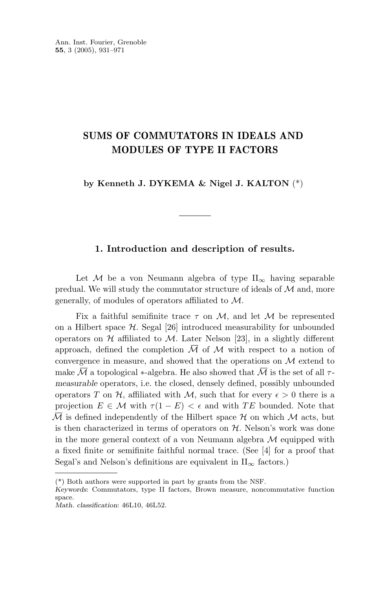### **SUMS OF COMMUTATORS IN IDEALS AND MODULES OF TYPE II FACTORS**

**by Kenneth J. DYKEMA & Nigel J. KALTON** (\*)

#### **1. Introduction and description of results.**

Let M be a von Neumann algebra of type  $II_{\infty}$  having separable predual. We will study the commutator structure of ideals of  $\mathcal M$  and, more generally, of modules of operators affiliated to M.

Fix a faithful semifinite trace  $\tau$  on M, and let M be represented on a Hilbert space  $\mathcal{H}$ . Segal [26] introduced measurability for unbounded operators on  $H$  affiliated to  $M$ . Later Nelson [23], in a slightly different approach, defined the completion  $\overline{\mathcal{M}}$  of  $\mathcal M$  with respect to a notion of convergence in measure, and showed that the operations on  $\mathcal M$  extend to make  $\overline{\mathcal{M}}$  a topological  $*$ -algebra. He also showed that  $\overline{\mathcal{M}}$  is the set of all  $\tau$ *measurable* operators, i.e. the closed, densely defined, possibly unbounded operators *T* on *H*, affiliated with *M*, such that for every  $\epsilon > 0$  there is a projection  $E \in \mathcal{M}$  with  $\tau(1 - E) < \epsilon$  and with *TE* bounded. Note that  $\overline{\mathcal{M}}$  is defined independently of the Hilbert space  $\mathcal H$  on which  $\mathcal M$  acts, but is then characterized in terms of operators on  $H$ . Nelson's work was done in the more general context of a von Neumann algebra  $M$  equipped with a fixed finite or semifinite faithful normal trace. (See [4] for a proof that Segal's and Nelson's definitions are equivalent in  $II_{\infty}$  factors.)

<sup>(\*)</sup> Both authors were supported in part by grants from the NSF.

*Keywords*: Commutators, type II factors, Brown measure, noncommutative function space.

*Math. classification*: 46L10, 46L52.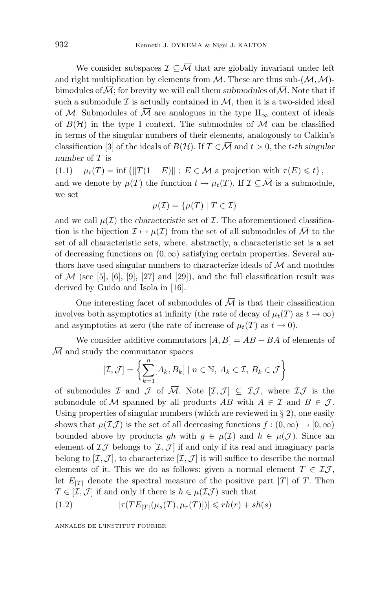We consider subspaces  $\mathcal{I} \subseteq \overline{\mathcal{M}}$  that are globally invariant under left and right multiplication by elements from  $M$ . These are thus sub- $(M, M)$ bimodules of  $\overline{\mathcal{M}}$ ; for brevity we will call them *submodules* of  $\overline{\mathcal{M}}$ . Note that if such a submodule  $\mathcal I$  is actually contained in  $\mathcal M$ , then it is a two-sided ideal of M. Submodules of  $\overline{M}$  are analogues in the type  $\prod_{\infty}$  context of ideals of  $B(\mathcal{H})$  in the type I context. The submodules of  $\overline{\mathcal{M}}$  can be classified in terms of the singular numbers of their elements, analogously to Calkin's classification [3] of the ideals of  $B(\mathcal{H})$ . If  $T \in \overline{\mathcal{M}}$  and  $t > 0$ , the *t*-th singular *number* of *T* is

 $(1.1)$   $\mu_t(T) = \inf \{ ||T(1 - E)|| : E \in \mathcal{M} \text{ a projection with } \tau(E) \leq t \},$ and we denote by  $\mu(T)$  the function  $t \mapsto \mu_t(T)$ . If  $\mathcal{I} \subseteq \overline{\mathcal{M}}$  is a submodule, we set

$$
\mu(\mathcal{I}) = \{ \mu(T) \mid T \in \mathcal{I} \}
$$

and we call  $\mu(\mathcal{I})$  the *characteristic set* of  $\mathcal{I}$ . The aforementioned classification is the bijection  $\mathcal{I} \mapsto \mu(\mathcal{I})$  from the set of all submodules of  $\overline{\mathcal{M}}$  to the set of all characteristic sets, where, abstractly, a characteristic set is a set of decreasing functions on  $(0, \infty)$  satisfying certain properties. Several authors have used singular numbers to characterize ideals of  $\mathcal M$  and modules of  $\mathcal M$  (see [5], [6], [9], [27] and [29]), and the full classification result was derived by Guido and Isola in [16].

One interesting facet of submodules of  $\overline{\mathcal{M}}$  is that their classification involves both asymptotics at infinity (the rate of decay of  $\mu_t(T)$  as  $t \to \infty$ ) and asymptotics at zero (the rate of increase of  $\mu_t(T)$  as  $t \to 0$ ).

We consider additive commutators  $[A, B] = AB - BA$  of elements of  $\overline{\mathcal{M}}$  and study the commutator spaces

$$
[\mathcal{I}, \mathcal{J}] = \left\{ \sum_{k=1}^{n} [A_k, B_k] \mid n \in \mathbb{N}, A_k \in \mathcal{I}, B_k \in \mathcal{J} \right\}
$$

of submodules I and J of  $\overline{M}$ . Note  $[\mathcal{I}, \mathcal{J}] \subseteq \mathcal{I} \mathcal{J}$ , where  $\mathcal{I} \mathcal{J}$  is the submodule of  $\overline{M}$  spanned by all products AB with  $A \in \mathcal{I}$  and  $B \in \mathcal{J}$ . Using properties of singular numbers (which are reviewed in  $\S 2$ ), one easily shows that  $\mu(\mathcal{I}\mathcal{J})$  is the set of all decreasing functions  $f:(0,\infty)\to[0,\infty)$ bounded above by products *gh* with  $g \in \mu(\mathcal{I})$  and  $h \in \mu(\mathcal{J})$ . Since an element of  $I\mathcal{J}$  belongs to  $[I,\mathcal{J}]$  if and only if its real and imaginary parts belong to  $[\mathcal{I}, \mathcal{J}]$ , to characterize  $[\mathcal{I}, \mathcal{J}]$  it will suffice to describe the normal elements of it. This we do as follows: given a normal element  $T \in \mathcal{I}\mathcal{J}$ , let  $E_{|T|}$  denote the spectral measure of the positive part |*T*| of *T*. Then  $T \in [I, J]$  if and only if there is  $h \in \mu(\mathcal{I}J)$  such that

$$
(1.2) \qquad |\tau(TE_{|T|}(\mu_s(T), \mu_r(T)])| \leqslant rh(r) + sh(s)
$$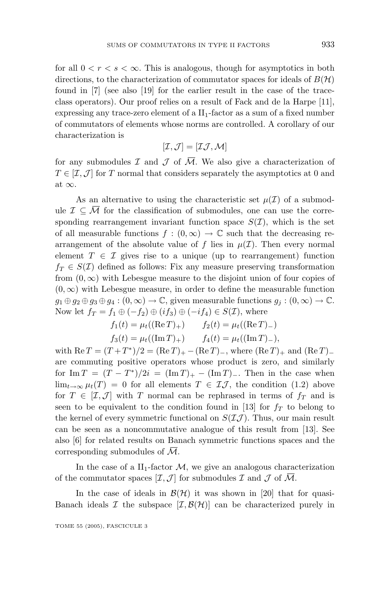for all  $0 < r < s < \infty$ . This is analogous, though for asymptotics in both directions, to the characterization of commutator spaces for ideals of  $B(H)$ found in [7] (see also [19] for the earlier result in the case of the traceclass operators). Our proof relies on a result of Fack and de la Harpe [11], expressing any trace-zero element of a  $II_1$ -factor as a sum of a fixed number of commutators of elements whose norms are controlled. A corollary of our characterization is

$$
[\mathcal{I},\mathcal{J}]=[\mathcal{I}\mathcal{J},\mathcal{M}]
$$

for any submodules  $\mathcal I$  and  $\mathcal J$  of  $\overline{\mathcal M}$ . We also give a characterization of  $T \in [I, J]$  for *T* normal that considers separately the asymptotics at 0 and at  $\infty$ .

As an alternative to using the characteristic set  $\mu(\mathcal{I})$  of a submodule  $\mathcal{I} \subseteq \mathcal{M}$  for the classification of submodules, one can use the corresponding rearrangement invariant function space  $S(\mathcal{I})$ , which is the set of all measurable functions  $f : (0, \infty) \to \mathbb{C}$  such that the decreasing rearrangement of the absolute value of f lies in  $\mu(\mathcal{I})$ . Then every normal element  $T \in \mathcal{I}$  gives rise to a unique (up to rearrangement) function  $f_T \in S(\mathcal{I})$  defined as follows: Fix any measure preserving transformation from  $(0, \infty)$  with Lebesgue measure to the disjoint union of four copies of  $(0, \infty)$  with Lebesgue measure, in order to define the measurable function  $g_1 \oplus g_2 \oplus g_3 \oplus g_4 : (0, \infty) \to \mathbb{C}$ , given measurable functions  $g_j : (0, \infty) \to \mathbb{C}$ . Now let  $f_T = f_1 \oplus (-f_2) \oplus (if_3) \oplus (-if_4) \in S(\mathcal{I})$ , where

 $f_1(t) = \mu_t((\text{Re } T)_+)$   $f_2(t) = \mu_t((\text{Re } T)_-)$  $f_3(t) = \mu_t((\text{Im } T)_+)$   $f_4(t) = \mu_t((\text{Im } T)_-),$ 

with  $\text{Re } T = (T + T^*)/2 = (\text{Re } T)_+ - (\text{Re } T)_-,$  where  $(\text{Re } T)_+$  and  $(\text{Re } T)_$ are commuting positive operators whose product is zero, and similarly for Im  $T = (T - T^*)/2i = (\text{Im} T)_+ - (\text{Im} T)_-.$  Then in the case when lim<sub>t→∞</sub>  $\mu_t(T) = 0$  for all elements  $T \in \mathcal{I}J$ , the condition (1.2) above for  $T \in [I, J]$  with *T* normal can be rephrased in terms of  $f_T$  and is seen to be equivalent to the condition found in [13] for  $f<sub>T</sub>$  to belong to the kernel of every symmetric functional on  $S(\mathcal{I}J)$ . Thus, our main result can be seen as a noncommutative analogue of this result from [13]. See also [6] for related results on Banach symmetric functions spaces and the corresponding submodules of M.

In the case of a  $II_1$ -factor  $M$ , we give an analogous characterization of the commutator spaces  $[\mathcal{I}, \mathcal{J}]$  for submodules  $\mathcal I$  and  $\mathcal J$  of  $\overline{\mathcal{M}}$ .

In the case of ideals in  $\mathcal{B}(\mathcal{H})$  it was shown in [20] that for quasi-Banach ideals I the subspace  $[I, \mathcal{B}(\mathcal{H})]$  can be characterized purely in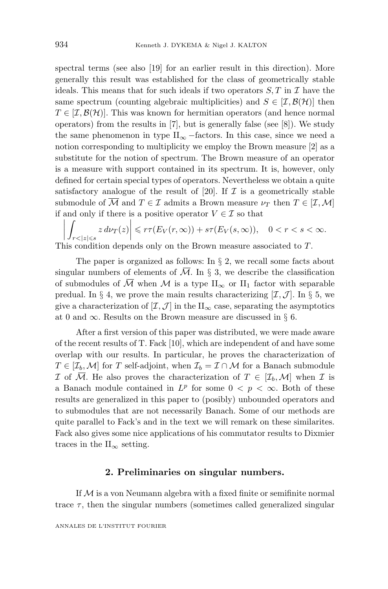spectral terms (see also [19] for an earlier result in this direction). More generally this result was established for the class of geometrically stable ideals. This means that for such ideals if two operators  $S, T$  in  $\mathcal I$  have the same spectrum (counting algebraic multiplicities) and  $S \in [\mathcal{I}, \mathcal{B}(\mathcal{H})]$  then  $T \in [I, \mathcal{B}(\mathcal{H})]$ . This was known for hermitian operators (and hence normal operators) from the results in [7], but is generally false (see [8]). We study the same phenomenon in type  $II_{\infty}$  –factors. In this case, since we need a notion corresponding to multiplicity we employ the Brown measure [2] as a substitute for the notion of spectrum. The Brown measure of an operator is a measure with support contained in its spectrum. It is, however, only defined for certain special types of operators. Nevertheless we obtain a quite satisfactory analogue of the result of [20]. If  $\mathcal I$  is a geometrically stable submodule of  $\overline{\mathcal{M}}$  and  $T \in \mathcal{I}$  admits a Brown measure  $\nu_T$  then  $T \in [\mathcal{I}, \mathcal{M}]$ if and only if there is a positive operator  $V \in \mathcal{I}$  so that

$$
\left| \int_{r < |z| \leqslant s} z \, d\nu_T(z) \right| \leqslant r\tau(E_V(r,\infty)) + s\tau(E_V(s,\infty)), \quad 0 < r < s < \infty.
$$
\nThis condition depends only on the Brown measure associated to  $T$ .

The paper is organized as follows: In  $\S 2$ , we recall some facts about singular numbers of elements of  $\overline{\mathcal{M}}$ . In § 3, we describe the classification of submodules of  $\overline{M}$  when M is a type  $II_{\infty}$  or  $II_1$  factor with separable predual. In  $\S 4$ , we prove the main results characterizing  $[\mathcal{I}, \mathcal{J}]$ . In  $\S 5$ , we give a characterization of  $[\mathcal{I}, \mathcal{J}]$  in the  $\Pi_{\infty}$  case, separating the asymptotics at 0 and  $\infty$ . Results on the Brown measure are discussed in § 6.

After a first version of this paper was distributed, we were made aware of the recent results of T. Fack [10], which are independent of and have some overlap with our results. In particular, he proves the characterization of  $T \in [\mathcal{I}_b, \mathcal{M}]$  for *T* self-adjoint, when  $\mathcal{I}_b = \mathcal{I} \cap \mathcal{M}$  for a Banach submodule I of  $\overline{\mathcal{M}}$ . He also proves the characterization of  $T \in [\mathcal{I}_b, \mathcal{M}]$  when I is a Banach module contained in  $L^p$  for some  $0 < p < \infty$ . Both of these results are generalized in this paper to (posibly) unbounded operators and to submodules that are not necessarily Banach. Some of our methods are quite parallel to Fack's and in the text we will remark on these similarites. Fack also gives some nice applications of his commutator results to Dixmier traces in the  $II_{\infty}$  setting.

#### **2. Preliminaries on singular numbers.**

If  $M$  is a von Neumann algebra with a fixed finite or semifinite normal trace  $\tau$ , then the singular numbers (sometimes called generalized singular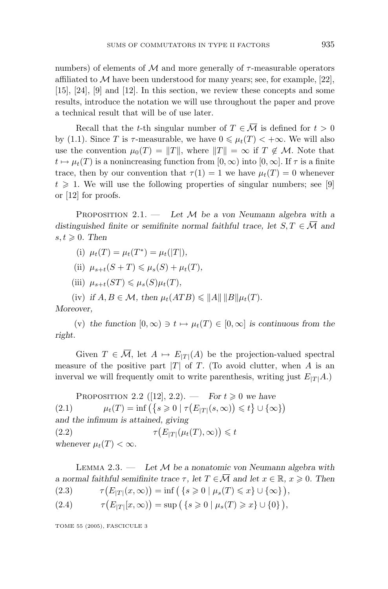numbers) of elements of  $M$  and more generally of  $\tau$ -measurable operators affiliated to  $\mathcal M$  have been understood for many years; see, for example, [22], [15], [24], [9] and [12]. In this section, we review these concepts and some results, introduce the notation we will use throughout the paper and prove a technical result that will be of use later.

Recall that the *t*-th singular number of  $T \in \overline{\mathcal{M}}$  is defined for  $t > 0$ by (1.1). Since *T* is  $\tau$ -measurable, we have  $0 \leq \mu_t(T) < +\infty$ . We will also use the convention  $\mu_0(T) = ||T||$ , where  $||T|| = \infty$  if  $T \notin \mathcal{M}$ . Note that  $t \mapsto \mu_t(T)$  is a nonincreasing function from  $[0, \infty)$  into  $[0, \infty]$ . If  $\tau$  is a finite trace, then by our convention that  $\tau(1) = 1$  we have  $\mu_t(T) = 0$  whenever  $t \geqslant 1$ . We will use the following properties of singular numbers; see [9] or [12] for proofs.

Proposition 2.1. — *Let* M *be a von Neumann algebra with a distinguished finite or semifinite normal faithful trace, let*  $S, T \in \overline{\mathcal{M}}$  and  $s, t \geqslant 0$ . Then

- (i)  $\mu_t(T) = \mu_t(T^*) = \mu_t(|T|)$ ,
- $(iii)$   $\mu_{s+t}(S+T) \leq \mu_s(S) + \mu_t(T)$ ,
- $(iii)$   $\mu_{s+t}(ST) \leq \mu_s(S)\mu_t(T)$ ,

(iv) if 
$$
A, B \in \mathcal{M}
$$
, then  $\mu_t(ATB) \le ||A|| ||B|| \mu_t(T)$ .

*Moreover,*

(v) the function  $[0, \infty) \ni t \mapsto \mu_t(T) \in [0, \infty]$  is continuous from the *right.*

Given  $T \in \overline{\mathcal{M}}$ , let  $A \mapsto E_{|T|}(A)$  be the projection-valued spectral measure of the positive part  $|T|$  of *T*. (To avoid clutter, when *A* is an inverval we will frequently omit to write parenthesis, writing just  $E_{|T|}A$ .)

**PROPOSITION 2.2** ([12], 2.2). — *For*  $t \ge 0$  *we have* (2.1)  $\mu_t(T) = \inf \left( \{ s \ge 0 \mid \tau \left( E_{|T|}(s, \infty) \right) \le t \} \cup \{ \infty \} \right)$ *and the infimum is attained, giving*  $(2.2)$  $(E_{|T|}(\mu_t(T), \infty)) \leq t$ *whenever*  $\mu_t(T) < \infty$ *.* 

Lemma 2.3. — *Let* M *be a nonatomic von Neumann algebra with a* normal faithful semifinite trace  $\tau$ , let  $T \in \overline{\mathcal{M}}$  and let  $x \in \mathbb{R}$ ,  $x \geq 0$ . Then (2.3)  $\tau(E_{|T|}(x,\infty)) = \inf\left(\{s \geq 0 \mid \mu_s(T) \leq x\} \cup \{\infty\}\right),$ 

(2.4) 
$$
\tau(E_{|T|}[x,\infty)) = \sup\left(\{s \geq 0 \mid \mu_s(T) \geq x\} \cup \{0\}\right),
$$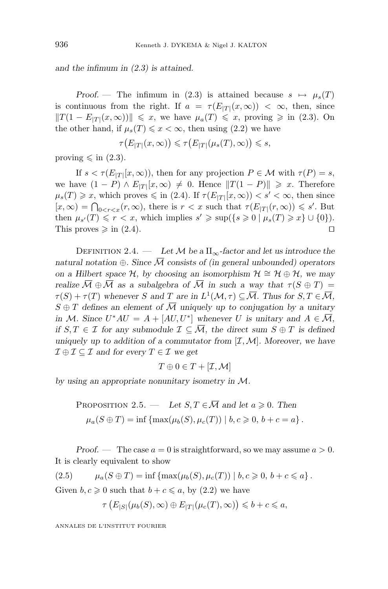*and the infimum in (2.3) is attained.*

*Proof.* — The infimum in (2.3) is attained because  $s \mapsto \mu_s(T)$ is continuous from the right. If  $a = \tau(E_{|T|}(x,\infty)) < \infty$ , then, since  $||T(1 - E_{|T|}(x, \infty))|| \le x$ , we have  $\mu_a(T) \le x$ , proving  $\ge \infty$  in (2.3). On the other hand, if  $\mu_s(T) \leq x < \infty$ , then using (2.2) we have

$$
\tau(E_{|T|}(x,\infty)) \leq \tau(E_{|T|}(\mu_s(T),\infty)) \leq s,
$$

proving  $\leq$  in (2.3).

If  $s < \tau(E_{|T|}[x,\infty))$ , then for any projection  $P \in \mathcal{M}$  with  $\tau(P) = s$ , we have  $(1 - P) \wedge E_{|T|}[x, \infty) \neq 0$ . Hence  $||T(1 - P)|| \geq x$ . Therefore  $\mu_s(T) \geq x$ , which proves  $\leq$  in (2.4). If  $\tau(E_{|T|}[x,\infty)) < s' < \infty$ , then since  $[x,\infty) = \bigcap_{0 \leq r \leq x} (r,\infty)$ , there is  $r < x$  such that  $\tau(E_{|T|}(r,\infty)) \leq s'$ . But then  $\mu_{s'}(T) \leq r < x$ , which implies  $s' \geq \sup(\{s \geq 0 \mid \mu_s(T) \geq x\} \cup \{0\}).$ This proves  $\geqslant$  in (2.4).

DEFINITION 2.4. — Let  $\mathcal M$  be a  $\text{II}_{\infty}$ -factor and let us introduce the *natural notation*  $\oplus$ *. Since*  $\overline{\mathcal{M}}$  *consists of (in general unbounded) operators on a Hilbert space*  $H$ *, by choosing an isomorphism*  $H \cong H \oplus H$ *, we may realize*  $\overline{M} \oplus \overline{M}$  *as a subalgebra of*  $\overline{M}$  *in such a way that*  $\tau(S \oplus T) =$  $\tau(S) + \tau(T)$  whenever *S* and *T* are in  $L^1(\mathcal{M}, \tau) \subseteq \overline{\mathcal{M}}$ . Thus for  $S, T \in \overline{\mathcal{M}}$ ,  $S \oplus T$  *defines an element of*  $\overline{\mathcal{M}}$  *uniquely up to conjugation by a unitary in M. Since*  $U^*AU = A + [AU, U^*]$  *whenever U is unitary and*  $A \in \overline{\mathcal{M}}$ *, if*  $S, T \in \mathcal{I}$  *for any submodule*  $\mathcal{I} \subseteq \overline{\mathcal{M}}$ *, the direct sum*  $S \oplus T$  *is defined* uniquely up to addition of a commutator from  $[\mathcal{I}, \mathcal{M}]$ . Moreover, we have  $\mathcal{I} \oplus \mathcal{I} \subseteq \mathcal{I}$  and for every  $T \in \mathcal{I}$  we get

$$
T \oplus 0 \in T + [\mathcal{I}, \mathcal{M}]
$$

*by using an appropriate nonunitary isometry in* M*.*

PROPOSITION 2.5. — Let 
$$
S, T \in \overline{\mathcal{M}}
$$
 and let  $a \ge 0$ . Then  
\n
$$
\mu_a(S \oplus T) = \inf \{ \max(\mu_b(S), \mu_c(T)) \mid b, c \ge 0, b + c = a \}.
$$

*Proof.* — The case  $a = 0$  is straightforward, so we may assume  $a > 0$ . It is clearly equivalent to show

 $(2.5)$   $\mu_a(S \oplus T) = \inf \{ \max(\mu_b(S), \mu_c(T)) \mid b, c \geq 0, b + c \leq a \}.$ 

Given  $b, c \ge 0$  such that  $b + c \le a$ , by (2.2) we have

 $\tau(E_{|S|}(\mu_b(S), \infty) \oplus E_{|T|}(\mu_c(T), \infty)) \leq b + c \leq a,$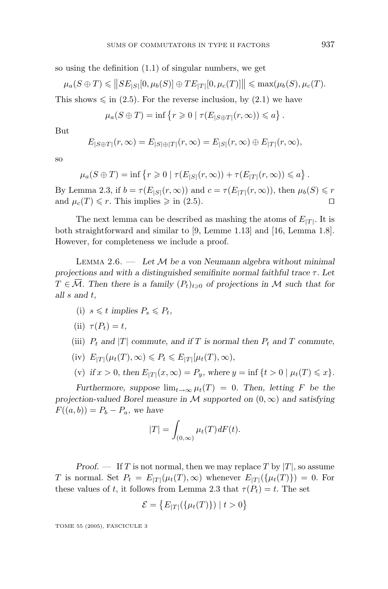so using the definition (1.1) of singular numbers, we get

$$
\mu_a(S \oplus T) \leq ||SE_{|S|}[0, \mu_b(S)] \oplus TE_{|T|}[0, \mu_c(T)]|| \leq \max(\mu_b(S), \mu_c(T)).
$$

This shows  $\leq$  in (2.5). For the reverse inclusion, by (2.1) we have

$$
\mu_a(S \oplus T) = \inf \left\{ r \geq 0 \mid \tau(E_{|S \oplus T|}(r, \infty)) \leq a \right\}.
$$

But

$$
E_{|S\oplus T|}(r,\infty)=E_{|S|\oplus |T|}(r,\infty)=E_{|S|}(r,\infty)\oplus E_{|T|}(r,\infty),
$$

so

$$
\mu_a(S \oplus T) = \inf \left\{ r \geq 0 \mid \tau(E_{|S|}(r,\infty)) + \tau(E_{|T|}(r,\infty)) \leq a \right\}.
$$

By Lemma 2.3, if  $b = \tau(E_{|S|}(r, \infty))$  and  $c = \tau(E_{|T|}(r, \infty))$ , then  $\mu_b(S) \leq r$ and  $\mu_c(T) \leq r$ . This implies  $\geq$  in (2.5).

The next lemma can be described as mashing the atoms of  $E_{|T|}$ . It is both straightforward and similar to [9, Lemme 1.13] and [16, Lemma 1.8]. However, for completeness we include a proof.

Lemma 2.6. — *Let* M *be a von Neumann algebra without minimal projections and with a distinguished semifinite normal faithful trace τ . Let*  $T \in \mathcal{M}$ . Then there is a family  $(P_t)_{t \geqslant 0}$  of projections in M such that for *all s and t,*

- (i)  $s \leq t$  implies  $P_s \leq P_t$ ,
- $\tau(P_t) = t$ ,
- (iii)  $P_t$  and  $|T|$  *commute, and if*  $T$  *is normal then*  $P_t$  *and*  $T$  *commute,*
- $E_{|T|}(\mu_t(T), \infty) \le P_t \le E_{|T|}[\mu_t(T), \infty)$ ,

(v) if  $x > 0$ , then  $E_{|T|}(x, \infty) = P_y$ , where  $y = \inf \{ t > 0 \mid \mu_t(T) \leq x \}.$ 

*Furthermore, suppose*  $\lim_{t\to\infty} \mu_t(T) = 0$ *. Then, letting F be the projection-valued Borel measure in*  $M$  *supported on*  $(0, \infty)$  *and satisfying*  $F((a, b)) = P_b - P_a$ , we have

$$
|T| = \int_{(0,\infty)} \mu_t(T) dF(t).
$$

*Proof.* — If *T* is not normal, then we may replace *T* by  $|T|$ , so assume *T* is normal. Set  $P_t = E_{|T|}(\mu_t(T), \infty)$  whenever  $E_{|T|}(\{\mu_t(T)\}) = 0$ . For these values of *t*, it follows from Lemma 2.3 that  $\tau(P_t) = t$ . The set

$$
\mathcal{E} = \{ E_{|T|}(\{\mu_t(T)\}) \mid t > 0 \}
$$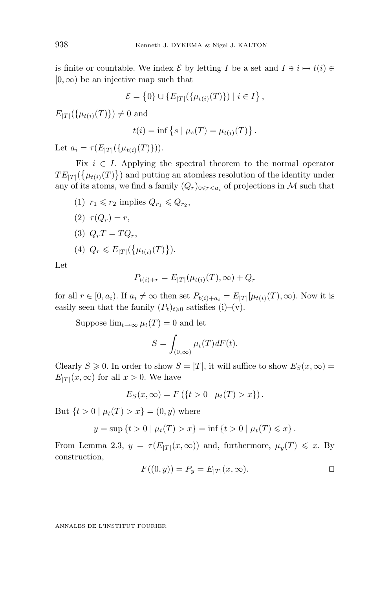is finite or countable. We index  $\mathcal{E}$  by letting *I* be a set and  $I \ni i \mapsto t(i) \in$ [0*,*∞) be an injective map such that

$$
\mathcal{E} = \{0\} \cup \{E_{|T|}(\{\mu_{t(i)}(T)\}) \mid i \in I\},\
$$

 $E_{|T|}(\{\mu_{t(i)}(T)\}) \neq 0$  and

$$
t(i) = \inf \{ s \mid \mu_s(T) = \mu_{t(i)}(T) \}.
$$

Let  $a_i = \tau(E_{|T|}(\{\mu_{t(i)}(T)\}))$ .

Fix  $i \in I$ . Applying the spectral theorem to the normal operator  $TE_{|T|}(\{\mu_{t(i)}(T)\})$  and putting an atomless resolution of the identity under any of its atoms, we find a family  $(Q_r)_{0 \leq r \leq a_i}$  of projections in M such that

- $(1)$   $r_1 \leq r_2$  implies  $Q_{r_1} \leq Q_{r_2}$ ,
- (2)  $\tau(Q_r) = r$ ,

$$
(3) Q_r T = T Q_r,
$$

(4) 
$$
Q_r \le E_{|T|}(\{\mu_{t(i)}(T)\})
$$
.

Let

$$
P_{t(i)+r} = E_{|T|}(\mu_{t(i)}(T), \infty) + Q_r
$$

for all  $r \in [0, a_i)$ . If  $a_i \neq \infty$  then set  $P_{t(i)+a_i} = E_{|T|}[\mu_{t(i)}(T), \infty)$ . Now it is easily seen that the family  $(P_t)_{t\geq 0}$  satisfies (i)–(v).

Suppose  $\lim_{t\to\infty} \mu_t(T) = 0$  and let

$$
S = \int_{(0,\infty)} \mu_t(T) dF(t).
$$

Clearly  $S \ge 0$ . In order to show  $S = |T|$ , it will suffice to show  $E_S(x, \infty) =$  $E_{|T|}(x,\infty)$  for all  $x>0$ . We have

$$
E_S(x,\infty) = F(\{t > 0 \mid \mu_t(T) > x\}).
$$

But  $\{t > 0 \mid \mu_t(T) > x\} = (0, y)$  where

$$
y = \sup \{ t > 0 \mid \mu_t(T) > x \} = \inf \{ t > 0 \mid \mu_t(T) \leq x \}.
$$

From Lemma 2.3,  $y = \tau(E_{|T|}(x,\infty))$  and, furthermore,  $\mu_y(T) \leq x$ . By construction,

$$
F((0, y)) = P_y = E_{|T|}(x, \infty).
$$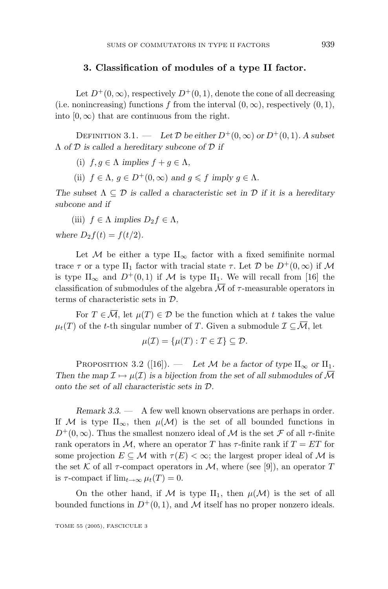#### **3. Classification of modules of a type II factor.**

Let  $D^+(0,\infty)$ , respectively  $D^+(0,1)$ , denote the cone of all decreasing (i.e. nonincreasing) functions *f* from the interval  $(0, \infty)$ , respectively  $(0, 1)$ , into  $[0, \infty)$  that are continuous from the right.

DEFINITION 3.1. — Let  $\mathcal D$  be either  $D^+(0,\infty)$  or  $D^+(0,1)$ *.* A subset Λ *of* D *is called a hereditary subcone of* D *if*

(i)  $f, g \in \Lambda$  *implies*  $f + q \in \Lambda$ ,

(ii)  $f \in \Lambda$ ,  $q \in D^+(0,\infty)$  and  $q \leq f$  *imply*  $q \in \Lambda$ .

*The subset*  $\Lambda \subseteq \mathcal{D}$  *is called a characteristic set in*  $\mathcal{D}$  *if it is a hereditary subcone and if*

(iii)  $f \in \Lambda$  *implies*  $D_2 f \in \Lambda$ , *where*  $D_2 f(t) = f(t/2)$ *.* 

Let M be either a type  $II_{\infty}$  factor with a fixed semifinite normal trace *τ* or a type II<sub>1</sub> factor with tracial state *τ*. Let *D* be  $D^+(0,\infty)$  if *M* is type II<sub>∞</sub> and  $D^+(0,1)$  if M is type II<sub>1</sub>. We will recall from [16] the classification of submodules of the algebra  $\overline{\mathcal{M}}$  of  $\tau$ -measurable operators in terms of characteristic sets in D.

For  $T \in \overline{\mathcal{M}}$ , let  $\mu(T) \in \mathcal{D}$  be the function which at t takes the value  $\mu_t(T)$  of the *t*-th singular number of *T*. Given a submodule  $\mathcal{I} \subseteq \overline{\mathcal{M}}$ , let

$$
\mu(\mathcal{I}) = \{\mu(T) : T \in \mathcal{I}\} \subseteq \mathcal{D}.
$$

PROPOSITION 3.2 ([16]). — Let M be a factor of type  $II_{\infty}$  or  $II_1$ . *Then the map*  $\mathcal{I} \mapsto \mu(\mathcal{I})$  *is a bijection from the set of all submodules of*  $\overline{\mathcal{M}}$ *onto the set of all characteristic sets in* D*.*

*Remark 3.3*. — A few well known observations are perhaps in order. If M is type II<sub>∞</sub>, then  $\mu(\mathcal{M})$  is the set of all bounded functions in  $D^+(0,\infty)$ . Thus the smallest nonzero ideal of M is the set F of all  $\tau$ -finite rank operators in M, where an operator T has  $\tau$ -finite rank if  $T = ET$  for some projection  $E \subseteq M$  with  $\tau(E) < \infty$ ; the largest proper ideal of M is the set K of all  $\tau$ -compact operators in M, where (see [9]), an operator T is  $\tau$ -compact if  $\lim_{t\to\infty} \mu_t(T) = 0$ .

On the other hand, if M is type II<sub>1</sub>, then  $\mu(\mathcal{M})$  is the set of all bounded functions in  $D^+(0,1)$ , and M itself has no proper nonzero ideals.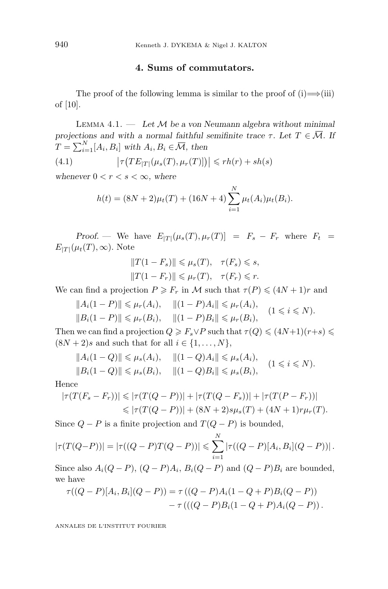#### 4. Sums of commutators.

The proof of the following lemma is similar to the proof of  $(i) \implies (iii)$ of [10].

Lemma 4.1. — *Let* M *be a von Neumann algebra without minimal projections and with a normal faithful semifinite trace*  $\tau$ *. Let*  $T \in \overline{\mathcal{M}}$ *. If*  $T = \sum_{i=1}^{N} [A_i, B_i]$  *with*  $A_i, B_i \in \overline{\mathcal{M}}$ , then

(4.1) 
$$
\left|\tau\big(TE_{|T|}(\mu_s(T), \mu_r(T)]\big)\right| \leq r h(r) + sh(s)
$$

whenever  $0 < r < s < \infty$ , where

$$
h(t) = (8N + 2)\mu_t(T) + (16N + 4) \sum_{i=1}^{N} \mu_t(A_i) \mu_t(B_i).
$$

*Proof.* — We have  $E_{|T|}(\mu_s(T), \mu_r(T)) = F_s - F_r$  where  $F_t =$  $E_{|T|}(\mu_t(T), \infty)$ . Note

$$
||T(1 - F_s)|| \leq \mu_s(T), \quad \tau(F_s) \leq s,
$$
  

$$
||T(1 - F_r)|| \leq \mu_r(T), \quad \tau(F_r) \leq r.
$$

We can find a projection  $P \geq F_r$  in M such that  $\tau(P) \leq (4N + 1)r$  and

$$
||A_i(1 - P)|| \leq \mu_r(A_i), \quad ||(1 - P)A_i|| \leq \mu_r(A_i),
$$
  

$$
||B_i(1 - P)|| \leq \mu_r(B_i), \quad ||(1 - P)B_i|| \leq \mu_r(B_i), \quad (1 \leq i \leq N).
$$

Then we can find a projection  $Q \geq F_s \vee P$  such that  $\tau(Q) \leq (4N+1)(r+s) \leq$  $(8N + 2)s$  and such that for all  $i \in \{1, ..., N\},$ 

$$
||A_i(1-Q)|| \leq \mu_s(A_i), \quad ||(1-Q)A_i|| \leq \mu_s(A_i),
$$
  

$$
||B_i(1-Q)|| \leq \mu_s(B_i), \quad ||(1-Q)B_i|| \leq \mu_s(B_i), \quad (1 \leq i \leq N).
$$

Hence

$$
|\tau(T(F_s - F_r))| \le |\tau(T(Q - P))| + |\tau(T(Q - F_s))| + |\tau(T(P - F_r))|
$$
  

$$
\le |\tau(T(Q - P))| + (8N + 2)s\mu_s(T) + (4N + 1)r\mu_r(T).
$$

Since  $Q - P$  is a finite projection and  $T(Q - P)$  is bounded,

$$
|\tau(T(Q-P))| = |\tau((Q-P)T(Q-P))| \leq \sum_{i=1}^{N} |\tau((Q-P)[A_i, B_i](Q-P))|.
$$

Since also  $A_i(Q - P)$ ,  $(Q - P)A_i$ ,  $B_i(Q - P)$  and  $(Q - P)B_i$  are bounded, we have

$$
\tau((Q-P)[A_i, B_i](Q-P)) = \tau((Q-P)A_i(1-Q+P)B_i(Q-P)) \n- \tau(((Q-P)B_i(1-Q+P)A_i(Q-P)).
$$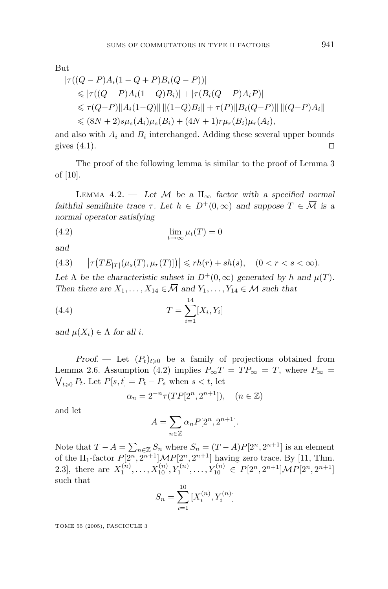But

$$
|\tau((Q - P)A_i(1 - Q + P)B_i(Q - P))|
$$
  
\n
$$
\leq |\tau((Q - P)A_i(1 - Q)B_i)| + |\tau(B_i(Q - P)A_iP)|
$$
  
\n
$$
\leq \tau(Q - P) ||A_i(1 - Q)|| ||(1 - Q)B_i|| + \tau(P) ||B_i(Q - P)|| ||(Q - P)A_i||
$$
  
\n
$$
\leq (8N + 2)s\mu_s(A_i)\mu_s(B_i) + (4N + 1)r\mu_r(B_i)\mu_r(A_i),
$$

and also with  $A_i$  and  $B_i$  interchanged. Adding these several upper bounds gives  $(4.1)$ .

The proof of the following lemma is similar to the proof of Lemma 3 of [10].

LEMMA 4.2. — Let  $M$  be a  $II_{\infty}$  factor with a specified normal *faithful semifinite trace*  $\tau$ . Let  $h \in D^+(0,\infty)$  and suppose  $T \in \overline{\mathcal{M}}$  is a *normal operator satisfying*

$$
\lim_{t \to \infty} \mu_t(T) = 0
$$

*and*

(4.3) 
$$
|\tau(TE_{|T|}(\mu_s(T), \mu_r(T)])| \le rh(r) + sh(s), \quad (0 < r < s < \infty).
$$

Let  $\Lambda$  *be the characteristic subset in*  $D^+(0,\infty)$  *generated by h* and  $\mu(T)$ *. Then there are*  $X_1, \ldots, X_{14} \in \overline{\mathcal{M}}$  *and*  $Y_1, \ldots, Y_{14} \in \mathcal{M}$  *such that* 

(4.4) 
$$
T = \sum_{i=1}^{14} [X_i, Y_i]
$$

*and*  $\mu(X_i) \in \Lambda$  *for all i.* 

*Proof.* — Let  $(P_t)_{t\geqslant0}$  be a family of projections obtained from Lemma 2.6. Assumption (4.2) implies  $P_{\infty}T = TP_{\infty} = T$ , where  $P_{\infty} =$  $\bigvee_{t \geqslant 0} P_t$ . Let  $P[s, t] = P_t - P_s$  when  $s < t$ , let

$$
\alpha_n = 2^{-n} \tau(TP[2^n, 2^{n+1}]), \quad (n \in \mathbb{Z})
$$

and let

$$
A = \sum_{n \in \mathbb{Z}} \alpha_n P[2^n, 2^{n+1}].
$$

Note that  $T - A = \sum_{n \in \mathbb{Z}} S_n$  where  $S_n = (T - A)P[2^n, 2^{n+1}]$  is an element of the II<sub>1</sub>-factor  $P[2^n, 2^{n+1}]MP[2^n, 2^{n+1}]$  having zero trace. By [11, Thm. 2.3], there are  $X_1^{(n)}, \ldots, X_{10}^{(n)}, Y_1^{(n)}, \ldots, Y_{10}^{(n)} \in P[2^n, 2^{n+1}]MP[2^n, 2^{n+1}]$ such that  $\overline{10}$ 

$$
S_n = \sum_{i=1}^{10} [X_i^{(n)}, Y_i^{(n)}]
$$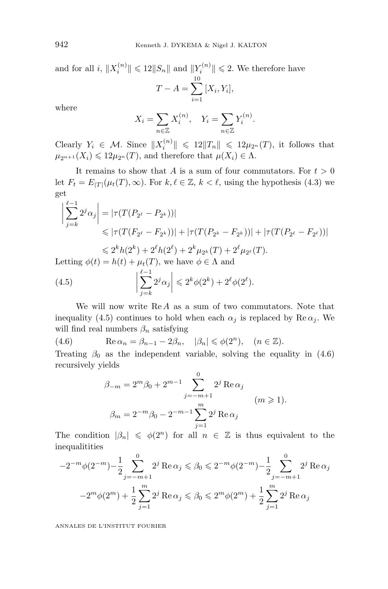and for all *i*,  $||X_i^{(n)}|| \le 12||S_n||$  and  $||Y_i^{(n)}|| \le 2$ . We therefore have 10

$$
T - A = \sum_{i=1}^{10} [X_i, Y_i],
$$

where

$$
X_i = \sum_{n \in \mathbb{Z}} X_i^{(n)}, \quad Y_i = \sum_{n \in \mathbb{Z}} Y_i^{(n)}.
$$

Clearly  $Y_i \in \mathcal{M}$ . Since  $||X_i^{(n)}|| \leq 12||T_n|| \leq 12\mu_{2^n}(T)$ , it follows that  $\mu_{2^{n+1}}(X_i) \leq 12\mu_{2^n}(T)$ , and therefore that  $\mu(X_i) \in \Lambda$ .

It remains to show that *A* is a sum of four commutators. For  $t > 0$ let  $F_t = E_{|T|}(\mu_t(T), \infty)$ . For  $k, \ell \in \mathbb{Z}, k < \ell$ , using the hypothesis (4.3) we get

$$
\left| \sum_{j=k}^{\ell-1} 2^j \alpha_j \right| = \left| \tau(T(P_{2^{\ell}} - P_{2^k})) \right|
$$
  
\n
$$
\leq \left| \tau(T(F_{2^{\ell}} - F_{2^k})) \right| + \left| \tau(T(P_{2^k} - F_{2^k})) \right| + \left| \tau(T(P_{2^{\ell}} - F_{2^{\ell}})) \right|
$$
  
\n
$$
\leq 2^k h(2^k) + 2^{\ell} h(2^{\ell}) + 2^k \mu_{2^k}(T) + 2^{\ell} \mu_{2^{\ell}}(T).
$$
  
\nLetting  $\phi(t) = h(t) + \mu_t(T)$ , we have  $\phi \in \Lambda$  and

(4.5) 
$$
\left|\sum_{j=k}^{\ell-1} 2^j \alpha_j\right| \leqslant 2^k \phi(2^k) + 2^{\ell} \phi(2^{\ell}).
$$

We will now write Re *A* as a sum of two commutators. Note that inequality (4.5) continues to hold when each  $\alpha_j$  is replaced by Re  $\alpha_j$ . We will find real numbers  $\beta_n$  satisfying

(4.6)  $\operatorname{Re} \alpha_n = \beta_{n-1} - 2\beta_n, \quad |\beta_n| \leq \phi(2^n), \quad (n \in \mathbb{Z}).$ 

Treating  $\beta_0$  as the independent variable, solving the equality in (4.6) recursively yields

$$
\beta_{-m} = 2^{m} \beta_{0} + 2^{m-1} \sum_{j=-m+1}^{0} 2^{j} \operatorname{Re} \alpha_{j}
$$
  

$$
\beta_{m} = 2^{-m} \beta_{0} - 2^{-m-1} \sum_{j=1}^{m} 2^{j} \operatorname{Re} \alpha_{j}
$$
  $(m \ge 1).$ 

The condition  $|\beta_n| \leq \phi(2^n)$  for all  $n \in \mathbb{Z}$  is thus equivalent to the inequalitities

$$
-2^{-m}\phi(2^{-m}) - \frac{1}{2} \sum_{j=-m+1}^{0} 2^{j} \operatorname{Re} \alpha_{j} \leq \beta_{0} \leq 2^{-m}\phi(2^{-m}) - \frac{1}{2} \sum_{j=-m+1}^{0} 2^{j} \operatorname{Re} \alpha_{j}
$$

$$
-2^{m}\phi(2^{m}) + \frac{1}{2} \sum_{j=1}^{m} 2^{j} \operatorname{Re} \alpha_{j} \leq \beta_{0} \leq 2^{m}\phi(2^{m}) + \frac{1}{2} \sum_{j=1}^{m} 2^{j} \operatorname{Re} \alpha_{j}
$$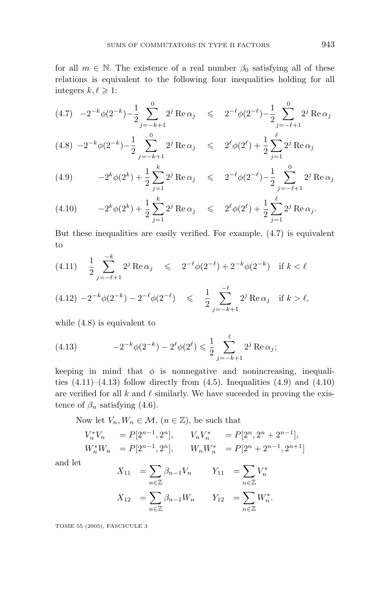for all  $m \in \mathbb{N}$ . The existence of a real number  $\beta_0$  satisfying all of these relations is equivalent to the following four inequalities holding for all integers  $k, \ell \geqslant 1$ :

$$
(4.7) \quad -2^{-k}\phi(2^{-k}) - \frac{1}{2}\sum_{j=-k+1}^{0} 2^{j} \operatorname{Re} \alpha_{j} \leq 2^{-\ell}\phi(2^{-\ell}) - \frac{1}{2}\sum_{j=-\ell+1}^{0} 2^{j} \operatorname{Re} \alpha_{j}
$$

$$
(4.8) \ -2^{-k}\phi(2^{-k}) - \frac{1}{2} \sum_{j=-k+1}^{0} 2^{j} \operatorname{Re} \alpha_{j} \leq 2^{\ell} \phi(2^{\ell}) + \frac{1}{2} \sum_{j=1}^{\ell} 2^{j} \operatorname{Re} \alpha_{j}
$$

(4.9) 
$$
-2^{k}\phi(2^{k}) + \frac{1}{2}\sum_{j=1}^{k} 2^{j} \operatorname{Re} \alpha_{j} \leq 2^{-\ell}\phi(2^{-\ell}) - \frac{1}{2}\sum_{j=-\ell+1}^{0} 2^{j} \operatorname{Re} \alpha_{j}
$$

(4.10) 
$$
-2^{k} \phi(2^{k}) + \frac{1}{2} \sum_{j=1}^{k} 2^{j} \operatorname{Re} \alpha_{j} \leq 2^{\ell} \phi(2^{\ell}) + \frac{1}{2} \sum_{j=1}^{\ell} 2^{j} \operatorname{Re} \alpha_{j}.
$$

But these inequalities are easily verified. For example, (4.7) is equivalent to

$$
(4.11) \quad \frac{1}{2} \sum_{j=-\ell+1}^{-k} 2^j \operatorname{Re} \alpha_j \leq 2^{-\ell} \phi(2^{-\ell}) + 2^{-k} \phi(2^{-k}) \quad \text{if } k < \ell
$$
\n
$$
(4.12) \ -2^{-k} \phi(2^{-k}) - 2^{-\ell} \phi(2^{-\ell}) \leq \frac{1}{2} \sum_{j=-k+1}^{-\ell} 2^j \operatorname{Re} \alpha_j \quad \text{if } k > \ell,
$$

while (4.8) is equivalent to

(4.13) 
$$
-2^{-k}\phi(2^{-k}) - 2^{\ell}\phi(2^{\ell}) \leq \frac{1}{2} \sum_{j=-k+1}^{\ell} 2^{j} \operatorname{Re} \alpha_{j};
$$

keeping in mind that  $\phi$  is nonnegative and nonincreasing, inequalities  $(4.11)–(4.13)$  follow directly from  $(4.5)$ . Inequalities  $(4.9)$  and  $(4.10)$ are verified for all  $k$  and  $\ell$  similarly. We have succeeded in proving the existence of  $\beta_n$  satisfying (4.6).

Now let  $V_n, W_n \in \mathcal{M}, (n \in \mathbb{Z})$ , be such that

$$
V_n^* V_n = P[2^{n-1}, 2^n], \t V_n V_n^* = P[2^n, 2^n + 2^{n-1}],
$$
  

$$
W_n^* W_n = P[2^{n-1}, 2^n], \t W_n W_n^* = P[2^n + 2^{n-1}, 2^{n+1}]
$$

and let

$$
X_{11} = \sum_{n \in \mathbb{Z}} \beta_{n-1} V_n \qquad Y_{11} = \sum_{n \in \mathbb{Z}} V_n^*
$$
  

$$
X_{12} = \sum_{n \in \mathbb{Z}} \beta_{n-1} W_n \qquad Y_{12} = \sum_{n \in \mathbb{Z}} W_n^*.
$$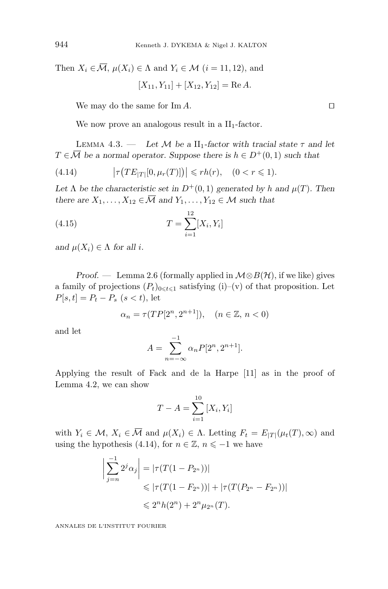Then  $X_i \in \overline{\mathcal{M}}$ ,  $\mu(X_i) \in \Lambda$  and  $Y_i \in \mathcal{M}$  (*i* = 11, 12), and

 $[X_{11}, Y_{11}] + [X_{12}, Y_{12}] = \text{Re } A.$ 

We may do the same for Im *A*.

We now prove an analogous result in a  $II_1$ -factor.

LEMMA  $4.3.$  — *Let*  $M$  *be a* II<sub>1</sub>-factor with tracial state  $\tau$  and let  $T \in \overline{\mathcal{M}}$  *be a normal operator. Suppose there is*  $h \in D^+(0,1)$  *such that* 

(4.14) 
$$
\left|\tau\big(TE_{|T|}[0,\mu_r(T)]\big)\right| \leq rh(r), \quad (0 < r \leq 1).
$$

Let  $\Lambda$  be the characteristic set in  $D^+(0,1)$  generated by *h* and  $\mu(T)$ . Then *there are*  $X_1, \ldots, X_{12} \in \overline{\mathcal{M}}$  *and*  $Y_1, \ldots, Y_{12} \in \mathcal{M}$  *such that* 

(4.15) 
$$
T = \sum_{i=1}^{12} [X_i, Y_i]
$$

*and*  $\mu(X_i) \in \Lambda$  *for all i.* 

*Proof.* — Lemma 2.6 (formally applied in  $M \otimes B(\mathcal{H})$ , if we like) gives a family of projections  $(P_t)_{0 \le t \le 1}$  satisfying (i)–(v) of that proposition. Let  $P[s,t] = P_t - P_s$  (*s* < *t*), let

$$
\alpha_n = \tau(TP[2^n, 2^{n+1}]), \quad (n \in \mathbb{Z}, n < 0)
$$

and let

$$
A = \sum_{n=-\infty}^{-1} \alpha_n P[2^n, 2^{n+1}].
$$

Applying the result of Fack and de la Harpe [11] as in the proof of Lemma 4.2, we can show

$$
T - A = \sum_{i=1}^{10} [X_i, Y_i]
$$

with  $Y_i \in \mathcal{M}, X_i \in \overline{\mathcal{M}}$  and  $\mu(X_i) \in \Lambda$ . Letting  $F_t = E_{|T|}(\mu_t(T), \infty)$  and using the hypothesis (4.14), for  $n \in \mathbb{Z}$ ,  $n \leq -1$  we have

$$
\left| \sum_{j=n}^{-1} 2^j \alpha_j \right| = \left| \tau(T(1 - P_{2^n})) \right|
$$
  
\$\leqslant |\tau(T(1 - F\_{2^n}))| + |\tau(T(P\_{2^n} - F\_{2^n}))|\$  
\$\leqslant 2^n h(2^n) + 2^n \mu\_{2^n}(T).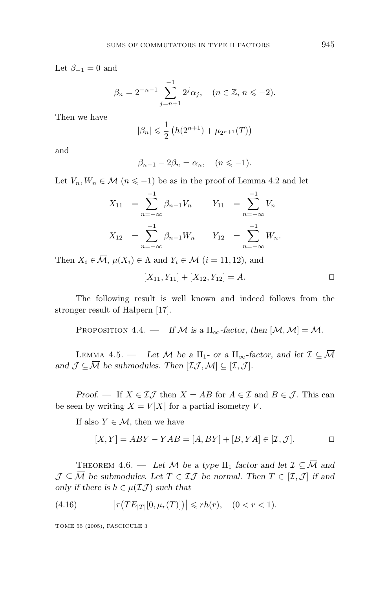Let  $\beta_{-1} = 0$  and

$$
\beta_n = 2^{-n-1} \sum_{j=n+1}^{-1} 2^j \alpha_j, \quad (n \in \mathbb{Z}, n \leq -2).
$$

Then we have

$$
|\beta_n| \leq \frac{1}{2} \left( h(2^{n+1}) + \mu_{2^{n+1}}(T) \right)
$$

and

$$
\beta_{n-1} - 2\beta_n = \alpha_n, \quad (n \leq -1).
$$

Let  $V_n, W_n \in \mathcal{M}$   $(n \leq -1)$  be as in the proof of Lemma 4.2 and let

$$
X_{11} = \sum_{n=-\infty}^{-1} \beta_{n-1} V_n \qquad Y_{11} = \sum_{n=-\infty}^{-1} V_n
$$
  

$$
X_{12} = \sum_{n=-\infty}^{-1} \beta_{n-1} W_n \qquad Y_{12} = \sum_{n=-\infty}^{-1} W_n.
$$

Then  $X_i \in \overline{\mathcal{M}}$ ,  $\mu(X_i) \in \Lambda$  and  $Y_i \in \mathcal{M}$   $(i = 11, 12)$ , and

$$
[X_{11}, Y_{11}] + [X_{12}, Y_{12}] = A.
$$

The following result is well known and indeed follows from the stronger result of Halpern [17].

PROPOSITION 4.4. — *If*  $M$  *is a*  $II_{\infty}$ *-factor, then*  $[M, M] = M$ *.* 

LEMMA 4.5. — Let M be a  $II_1$ - or a  $II_\infty$ -factor, and let  $\mathcal{I} \subseteq \overline{\mathcal{M}}$ and  $\mathcal{J} \subseteq \overline{\mathcal{M}}$  *be submodules. Then*  $[\mathcal{I}\mathcal{J},\mathcal{M}] \subseteq [\mathcal{I},\mathcal{J}]$ *.* 

*Proof.* — If  $X \in \mathcal{I}\mathcal{J}$  then  $X = AB$  for  $A \in \mathcal{I}$  and  $B \in \mathcal{J}$ . This can be seen by writing  $X = V|X|$  for a partial isometry *V*.

If also  $Y \in \mathcal{M}$ , then we have

$$
[X,Y] = ABY - YAB = [A,BY] + [B,YA] \in [\mathcal{I},\mathcal{J}].
$$

THEOREM 4.6. — Let M be a type  $II_1$  factor and let  $\mathcal{I} \subseteq \overline{\mathcal{M}}$  and  $\mathcal{J} \subseteq \overline{\mathcal{M}}$  be submodules. Let  $T \in \mathcal{I} \mathcal{J}$  be normal. Then  $T \in [\mathcal{I}, \mathcal{J}]$  if and *only if there is*  $h \in \mu(\mathcal{I}\mathcal{J})$  *such that* 

(4.16) 
$$
\left|\tau\big(TE_{|T|}[0,\mu_r(T)]\big)\right| \leq r h(r), \quad (0 < r < 1).
$$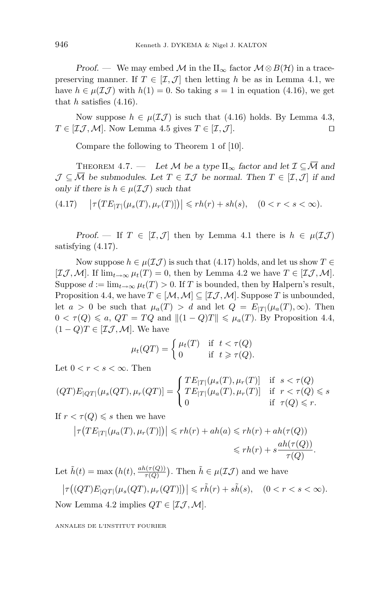*Proof.* — We may embed M in the  $II_{\infty}$  factor  $M \otimes B(\mathcal{H})$  in a tracepreserving manner. If  $T \in [\mathcal{I}, \mathcal{J}]$  then letting h be as in Lemma 4.1, we have  $h \in \mu(\mathcal{I}\mathcal{J})$  with  $h(1) = 0$ . So taking  $s = 1$  in equation (4.16), we get that *h* satisfies (4.16).

Now suppose  $h \in \mu(\mathcal{I}\mathcal{J})$  is such that (4.16) holds. By Lemma 4.3,  $T \in [I\mathcal{J}, \mathcal{M}]$ . Now Lemma 4.5 gives  $T \in [I, \mathcal{J}]$ .

Compare the following to Theorem 1 of [10].

THEOREM 4.7. — Let M be a type  $\Pi_{\infty}$  factor and let  $\mathcal{I} \subseteq \overline{\mathcal{M}}$  and  $\mathcal{J} \subseteq \overline{\mathcal{M}}$  be submodules. Let  $T \in \mathcal{I} \mathcal{J}$  be normal. Then  $T \in [\mathcal{I}, \mathcal{J}]$  if and *only if there is*  $h \in \mu(\mathcal{I}\mathcal{J})$  *such that* 

(4*.*17)  $|\tau(TE_{|T|}(\mu_s(T), \mu_r(T))]|| \leq rh(r) + sh(s), \quad (0 < r < s < \infty).$ 

*Proof.* — If  $T \in [\mathcal{I}, \mathcal{J}]$  then by Lemma 4.1 there is  $h \in \mu(\mathcal{I}\mathcal{J})$ satisfying (4.17).

Now suppose  $h \in \mu(\mathcal{I}\mathcal{J})$  is such that (4.17) holds, and let us show  $T \in$  $[\mathcal{I}\mathcal{J},\mathcal{M}]$ . If  $\lim_{t\to\infty}\mu_t(T)=0$ , then by Lemma 4.2 we have  $T\in[\mathcal{I}\mathcal{J},\mathcal{M}]$ . Suppose  $d := \lim_{t \to \infty} \mu_t(T) > 0$ . If *T* is bounded, then by Halpern's result, Proposition 4.4, we have  $T \in [\mathcal{M}, \mathcal{M}] \subseteq [\mathcal{I}, \mathcal{M}]$ . Suppose *T* is unbounded, let  $a > 0$  be such that  $\mu_a(T) > d$  and let  $Q = E_{|T|}(\mu_a(T), \infty)$ . Then  $0 < \tau(Q) \leq a$ ,  $QT = TQ$  and  $||(1 - Q)T|| \leq \mu_a(T)$ . By Proposition 4.4,  $(1 - Q)T \in [\mathcal{I}\mathcal{J}, \mathcal{M}]$ . We have

$$
\mu_t(QT) = \begin{cases} \mu_t(T) & \text{if } t < \tau(Q) \\ 0 & \text{if } t \geq \tau(Q). \end{cases}
$$

Let  $0 < r < s < \infty$ . Then

$$
(QT)E_{|QT|}(\mu_s(QT), \mu_r(QT)) = \begin{cases} TE_{|T|}(\mu_s(T), \mu_r(T)) & \text{if } s < \tau(Q) \\ TE_{|T|}(\mu_a(T), \mu_r(T)) & \text{if } r < \tau(Q) \leq s \\ 0 & \text{if } \tau(Q) \leq r. \end{cases}
$$

If  $r < \tau(Q) \leq s$  then we have

$$
\left|\tau\big(TE_{|T|}(\mu_a(T), \mu_r(T)]\big)\right| \leqslant rh(r) + ah(a) \leqslant rh(r) + ah(\tau(Q))
$$
  

$$
\leqslant rh(r) + s\frac{ah(\tau(Q))}{\tau(Q)}.
$$

Let  $\tilde{h}(t) = \max (h(t), \frac{ah(\tau(Q))}{\tau(Q)})$ . Then  $\tilde{h} \in \mu(\mathcal{I}\mathcal{J})$  and we have

$$
\left|\tau\big((QT)E_{|QT|}(\mu_s(QT), \mu_r(QT)]\big)\right| \leqslant r\tilde{h}(r) + s\tilde{h}(s), \quad (0 < r < s < \infty).
$$
\nNow Lemma 4.2 implies  $QT \in [\mathcal{I}, \mathcal{M}].$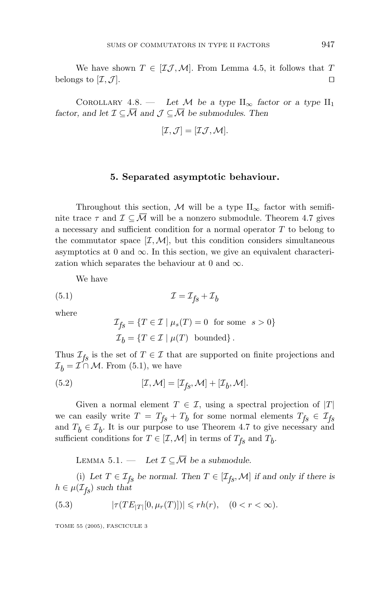We have shown  $T \in [I \mathcal{J}, \mathcal{M}]$ . From Lemma 4.5, it follows that *T* belongs to  $[\mathcal{I}, \mathcal{J}]$ .

COROLLARY 4.8. — *Let*  $M$  *be a type*  $II_{\infty}$  *factor or a type*  $II_1$ *factor, and let*  $\mathcal{I} \subseteq \overline{\mathcal{M}}$  *and*  $\mathcal{J} \subseteq \overline{\mathcal{M}}$  *be submodules. Then* 

$$
[\mathcal{I},\mathcal{J}] = [\mathcal{I}\mathcal{J},\mathcal{M}].
$$

#### **5. Separated asymptotic behaviour.**

Throughout this section, M will be a type  $II_{\infty}$  factor with semifinite trace  $\tau$  and  $\mathcal{I} \subseteq \overline{\mathcal{M}}$  will be a nonzero submodule. Theorem 4.7 gives a necessary and sufficient condition for a normal operator *T* to belong to the commutator space  $[\mathcal{I}, \mathcal{M}]$ , but this condition considers simultaneous asymptotics at 0 and  $\infty$ . In this section, we give an equivalent characterization which separates the behaviour at 0 and  $\infty$ .

We have

(5*.*1) I = Ifs + Ib

where

$$
\mathcal{I}_{fs} = \{ T \in \mathcal{I} \mid \mu_s(T) = 0 \text{ for some } s > 0 \}
$$
  

$$
\mathcal{I}_b = \{ T \in \mathcal{I} \mid \mu(T) \text{ bounded} \}.
$$

Thus  $\mathcal{I}_{fs}$  is the set of  $T \in \mathcal{I}$  that are supported on finite projections and  $\mathcal{I}_h = \mathcal{I} \cap \mathcal{M}$ . From (5.1), we have

(5.2) 
$$
[\mathcal{I}, \mathcal{M}] = [\mathcal{I}_{fs}, \mathcal{M}] + [\mathcal{I}_b, \mathcal{M}].
$$

Given a normal element  $T \in \mathcal{I}$ , using a spectral projection of  $|T|$ we can easily write  $T = T_{fs} + T_b$  for some normal elements  $T_{fs} \in \mathcal{I}_{fs}$ and  $T_b \in \mathcal{I}_b$ . It is our purpose to use Theorem 4.7 to give necessary and sufficient conditions for  $T \in [\mathcal{I}, \mathcal{M}]$  in terms of  $T_{fs}$  and  $T_b$ .

LEMMA 5.1. — Let  $\mathcal{I} \subseteq \overline{\mathcal{M}}$  be a submodule.

(i) Let  $T \in \mathcal{I}_{fs}$  be normal. Then  $T \in [\mathcal{I}_{fs}, \mathcal{M}]$  if and only if there is  $h \in \mu(\mathcal{I}_{fs})$  *such that* 

(5.3) 
$$
|\tau(TE_{|T|}[0, \mu_r(T)])| \leq r h(r), \quad (0 < r < \infty).
$$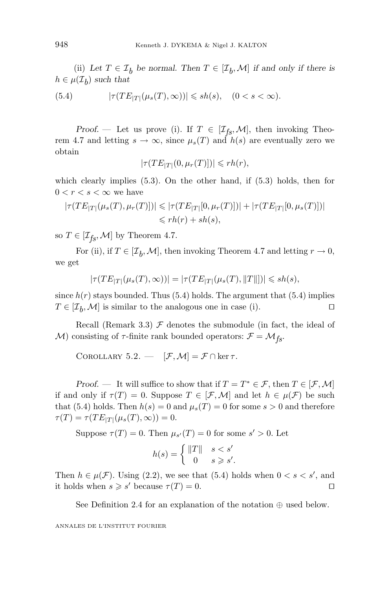(ii) Let  $T \in \mathcal{I}_b$  be normal. Then  $T \in [\mathcal{I}_b, \mathcal{M}]$  if and only if there is  $h \in \mu(\mathcal{I}_h)$  *such that* 

(5.4) 
$$
|\tau(TE_{|T|}(\mu_s(T), \infty))| \leqslant sh(s), \quad (0 < s < \infty).
$$

*Proof.* — Let us prove (i). If  $T \in [\mathcal{I}_{fs}, \mathcal{M}]$ , then invoking Theorem 4.7 and letting  $s \to \infty$ , since  $\mu_s(T)$  and  $h(s)$  are eventually zero we obtain

$$
|\tau(TE_{|T|}(0,\mu_r(T)])| \leqslant rh(r),
$$

which clearly implies (5.3). On the other hand, if (5.3) holds, then for  $0 < r < s < \infty$  we have

$$
|\tau(TE_{|T|}(\mu_s(T), \mu_r(T)])| \le |\tau(TE_{|T|}[0, \mu_r(T)])| + |\tau(TE_{|T|}[0, \mu_s(T)])|
$$
  

$$
\le rh(r) + sh(s),
$$

so  $T \in [\mathcal{I}_{fs}, \mathcal{M}]$  by Theorem 4.7.

For (ii), if  $T \in [\mathcal{I}_h, \mathcal{M}]$ , then invoking Theorem 4.7 and letting  $r \to 0$ , we get

$$
|\tau(TE_{|T|}(\mu_s(T),\infty))|=|\tau(TE_{|T|}(\mu_s(T),\|T\|])|\leqslant sh(s),
$$

since  $h(r)$  stays bounded. Thus  $(5.4)$  holds. The argument that  $(5.4)$  implies  $T \in [\mathcal{I}_h, \mathcal{M}]$  is similar to the analogous one in case (i).

Recall (Remark 3.3)  $\mathcal F$  denotes the submodule (in fact, the ideal of M) consisting of  $\tau$ -finite rank bounded operators:  $\mathcal{F} = \mathcal{M}_{fs}$ .

COROLLARY 5.2. —  $[\mathcal{F}, \mathcal{M}] = \mathcal{F} \cap \ker \tau$ .

*Proof.* — It will suffice to show that if  $T = T^* \in \mathcal{F}$ , then  $T \in [\mathcal{F}, \mathcal{M}]$ if and only if  $\tau(T) = 0$ . Suppose  $T \in [\mathcal{F}, \mathcal{M}]$  and let  $h \in \mu(\mathcal{F})$  be such that (5.4) holds. Then  $h(s) = 0$  and  $\mu_s(T) = 0$  for some  $s > 0$  and therefore  $\tau(T) = \tau(T E_{|T|}(\mu_s(T), \infty)) = 0.$ 

Suppose  $\tau(T) = 0$ . Then  $\mu_{s'}(T) = 0$  for some  $s' > 0$ . Let

$$
h(s) = \begin{cases} ||T|| & s < s' \\ 0 & s \geqslant s'. \end{cases}
$$

Then  $h \in \mu(\mathcal{F})$ . Using (2.2), we see that (5.4) holds when  $0 < s < s'$ , and it holds when  $s \geqslant s'$  because  $\tau(T) = 0$ .

See Definition 2.4 for an explanation of the notation  $\oplus$  used below.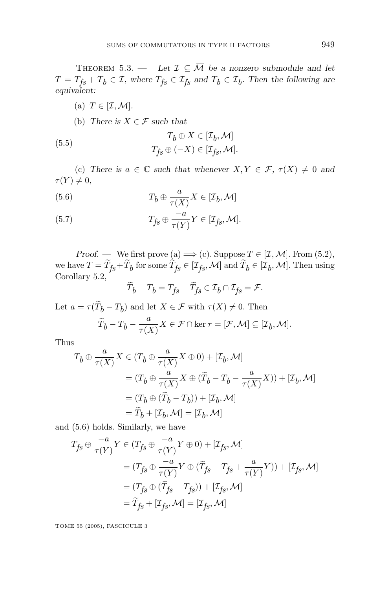THEOREM 5.3. — Let  $\mathcal{I} \subseteq \overline{\mathcal{M}}$  be a nonzero submodule and let  $T = T_{fs} + T_b \in \mathcal{I}$ , where  $T_{fs} \in \mathcal{I}_{fs}$  and  $T_b \in \mathcal{I}_b$ . Then the following are *equivalent:*

- (a)  $T \in [\mathcal{I}, \mathcal{M}].$
- (b) *There is*  $X \in \mathcal{F}$  *such that*

(5.5) 
$$
T_b \oplus X \in [\mathcal{I}_b, \mathcal{M}]
$$

$$
T_{fs} \oplus (-X) \in [\mathcal{I}_{fs}, \mathcal{M}].
$$

(c) *There is*  $a \in \mathbb{C}$  *such that whenever*  $X, Y \in \mathcal{F}$ ,  $\tau(X) \neq 0$  *and*  $\tau(Y) \neq 0$ ,

(5.6) 
$$
T_b \oplus \frac{a}{\tau(X)} X \in [\mathcal{I}_b, \mathcal{M}]
$$

(5.7) 
$$
T_{fs} \oplus \frac{-a}{\tau(Y)} Y \in [\mathcal{I}_{fs}, \mathcal{M}].
$$

*Proof.* — We first prove (a)  $\implies$  (c). Suppose  $T \in [\mathcal{I}, \mathcal{M}]$ . From (5.2), we have  $T = T_{fs} + T_b$  for some  $T_{fs} \in [\mathcal{I}_{fs}, \mathcal{M}]$  and  $T_b \in [\mathcal{I}_b, \mathcal{M}]$ . Then using Corollary 5.2,

$$
\widetilde{T}_b - T_b = T_{fs} - \widetilde{T}_{fs} \in \mathcal{I}_b \cap \mathcal{I}_{fs} = \mathcal{F}.
$$

Let  $a = \tau(T_b - T_b)$  and let  $X \in \mathcal{F}$  with  $\tau(X) \neq 0$ . Then

$$
\widetilde{T}_b - T_b - \frac{a}{\tau(X)} X \in \mathcal{F} \cap \ker \tau = [\mathcal{F}, \mathcal{M}] \subseteq [\mathcal{I}_b, \mathcal{M}].
$$

Thus

$$
\begin{aligned} T_b&\oplus\frac{a}{\tau(X)}X\in (T_b\oplus\frac{a}{\tau(X)}X\oplus 0)+[\mathcal{I}_b,\mathcal{M}]\\ &= (T_b\oplus\frac{a}{\tau(X)}X\oplus(\widetilde{T}_b-T_b-\frac{a}{\tau(X)}X))+[\mathcal{I}_b,\mathcal{M}]\\ &= (T_b\oplus(\widetilde{T}_b-T_b))+[\mathcal{I}_b,\mathcal{M}]\\ &=\widetilde{T}_b+[\mathcal{I}_b,\mathcal{M}]=[\mathcal{I}_b,\mathcal{M}] \end{aligned}
$$

and (5.6) holds. Similarly, we have

$$
T_{fs} \oplus \frac{-a}{\tau(Y)} Y \in (T_{fs} \oplus \frac{-a}{\tau(Y)} Y \oplus 0) + [\mathcal{I}_{fs}, \mathcal{M}]
$$
  
\n
$$
= (T_{fs} \oplus \frac{-a}{\tau(Y)} Y \oplus (\widetilde{T}_{fs} - T_{fs} + \frac{a}{\tau(Y)} Y)) + [\mathcal{I}_{fs}, \mathcal{M}]
$$
  
\n
$$
= (T_{fs} \oplus (\widetilde{T}_{fs} - T_{fs})) + [\mathcal{I}_{fs}, \mathcal{M}]
$$
  
\n
$$
= \widetilde{T}_{fs} + [\mathcal{I}_{fs}, \mathcal{M}] = [\mathcal{I}_{fs}, \mathcal{M}]
$$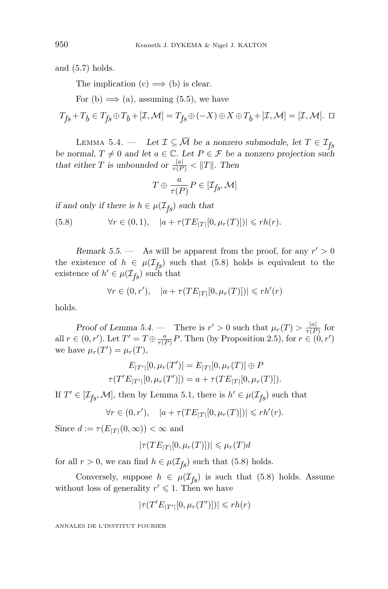and (5.7) holds.

The implication  $(c) \implies$  (b) is clear.

For (b)  $\implies$  (a), assuming (5.5), we have

$$
T_{f\!s}+T_b\in T_{f\!s}\oplus T_b+[{\mathcal I},{\mathcal M}]=T_{f\!s}\oplus (-X)\oplus X\oplus T_b+[{\mathcal I},{\mathcal M}]=[{\mathcal I},{\mathcal M}].\;\;\Box
$$

LEMMA 5.4. — *Let*  $\mathcal{I} \subseteq \overline{\mathcal{M}}$  *be a nonzero submodule, let*  $T \in \mathcal{I}_{fs}$ *be normal,*  $T \neq 0$  *and let*  $a \in \mathbb{C}$ *. Let*  $P \in \mathcal{F}$  *be a nonzero projection such that either T is unbounded or*  $\frac{|a|}{\tau(P)} < ||T||$ *. Then* 

$$
T \oplus \frac{a}{\tau(P)}P \in [\mathcal{I}_{fS}, \mathcal{M}]
$$

*if and only if there is*  $h \in \mu(\mathcal{I}_{fs})$  *such that* 

(5.8)  $\forall r \in (0,1), \quad |a+\tau(TE_{|T|}[0,\mu_r(T)])| \leqslant rh(r).$ 

*Remark 5.5.* — As will be apparent from the proof, for any  $r' > 0$ the existence of  $h \in \mu(\mathcal{I}_{fs})$  such that (5.8) holds is equivalent to the existence of  $h' \in \mu(\mathcal{I}_{fs})$  such that

$$
\forall r \in (0, r'), \quad |a + \tau(TE_{|T|}[0, \mu_r(T)])| \leqslant rh'(r)
$$

holds.

*Proof of Lemma 5.4.* — There is  $r' > 0$  such that  $\mu_r(T) > \frac{|a|}{\tau(P)}$  for all  $r \in (0, r')$ . Let  $T' = T \oplus \frac{a}{\tau(P)} P$ . Then (by Proposition 2.5), for  $r \in (0, r')$ we have  $\mu_r(T') = \mu_r(T)$ ,

$$
E_{|T'|}[0, \mu_r(T')] = E_{|T|}[0, \mu_r(T)] \oplus P
$$
  

$$
\tau(T'E_{|T'|}[0, \mu_r(T')]) = a + \tau(TE_{|T|}[0, \mu_r(T)]).
$$

If  $T' \in [\mathcal{I}_{fs}, \mathcal{M}]$ , then by Lemma 5.1, there is  $h' \in \mu(\mathcal{I}_{fs})$  such that

$$
\forall r \in (0, r'), \quad |a + \tau(TE_{|T|}[0, \mu_r(T)])| \leqslant rh'(r).
$$

Since  $d := \tau(E_{|T|}(0,\infty)) < \infty$  and

$$
|\tau(TE_{|T|}[0,\mu_r(T)])| \leq \mu_r(T)d
$$

for all  $r > 0$ , we can find  $h \in \mu(\mathcal{I}_{fs})$  such that (5.8) holds.

Conversely, suppose  $h \in \mu(\mathcal{I}_{f_S})$  is such that (5.8) holds. Assume without loss of generality  $r' \leq 1$ . Then we have

$$
|\tau(T'E_{|T'|}[0,\mu_r(T')])| \leqslant rh(r)
$$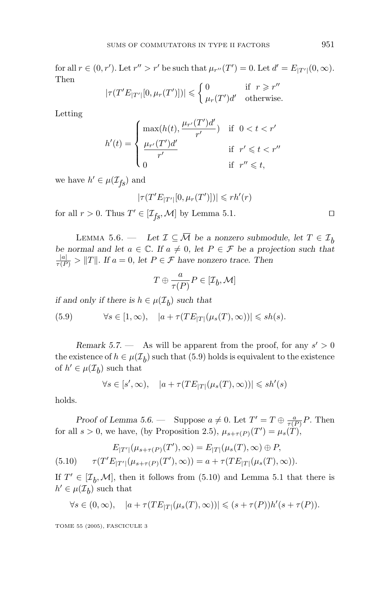for all  $r \in (0, r')$ . Let  $r'' > r'$  be such that  $\mu_{r''}(T') = 0$ . Let  $d' = E_{|T'|}(0, \infty)$ . Then

$$
|\tau(T'E_{|T'|}[0, \mu_r(T')])| \leq \begin{cases} 0 & \text{if } r \geq r'' \\ \mu_r(T')d' & \text{otherwise.} \end{cases}
$$

Letting

$$
h'(t) = \begin{cases} \max(h(t), \frac{\mu_{r'}(T')d'}{r'}) & \text{if } 0 < t < r' \\ \frac{\mu_{r'}(T')d'}{r'} & \text{if } r' \leqslant t < r'' \\ 0 & \text{if } r'' \leqslant t, \end{cases}
$$

we have  $h' \in \mu(\mathcal{I}_{fs})$  and

$$
|\tau(T'E_{|T'|}[0,\mu_r(T')])|\leqslant rh'(r)
$$

for all  $r > 0$ . Thus  $T' \in [\mathcal{I}_{fs}, \mathcal{M}]$  by Lemma 5.1.

LEMMA 5.6. — *Let*  $\mathcal{I} \subseteq \overline{\mathcal{M}}$  *be a nonzero submodule, let*  $T \in \mathcal{I}_b$ *be normal and let*  $a \in \mathbb{C}$ *. If*  $a \neq 0$ *, let*  $P \in \mathcal{F}$  *be a projection such that*  $\frac{|a|}{\tau(P)} > ||T||$ . If  $a = 0$ , let  $P \in \mathcal{F}$  have nonzero trace. Then

$$
T \oplus \frac{a}{\tau(P)}P \in [\mathcal{I}_b, \mathcal{M}]
$$

*if and only if there is*  $h \in \mu(\mathcal{I}_h)$  *such that* 

(5.9)  $\forall s \in [1, \infty), \quad |a + \tau(TE_{|T|}(\mu_s(T), \infty))| \leqslant sh(s).$ 

*Remark 5.7.* — As will be apparent from the proof, for any  $s' > 0$ the existence of  $h \in \mu(\mathcal{I}_b)$  such that (5.9) holds is equivalent to the existence of  $h' \in \mu(\mathcal{I}_h)$  such that

$$
\forall s \in [s', \infty), \quad |a + \tau(TE_{|T|}(\mu_s(T), \infty))| \leqslant sh'(s)
$$

holds.

*Proof of Lemma 5.6.* — Suppose  $a \neq 0$ . Let  $T' = T \oplus \frac{a}{\tau(P)} P$ . Then for all  $s > 0$ , we have, (by Proposition 2.5),  $\mu_{s+\tau(P)}(T') = \mu_s(T)$ ,

(5.10) 
$$
E_{|T'|}(\mu_{s+\tau(P)}(T'), \infty) = E_{|T|}(\mu_s(T), \infty) \oplus P,
$$

$$
\tau(T'E_{|T'|}(\mu_{s+\tau(P)}(T'), \infty)) = a + \tau(TE_{|T|}(\mu_s(T), \infty)).
$$

If  $T' \in [\mathcal{I}_b, \mathcal{M}]$ , then it follows from (5.10) and Lemma 5.1 that there is  $h' \in \mu(\mathcal{I}_h)$  such that

$$
\forall s \in (0,\infty), \quad |a + \tau(TE_{|T|}(\mu_s(T),\infty))| \leq (s + \tau(P))h'(s + \tau(P)).
$$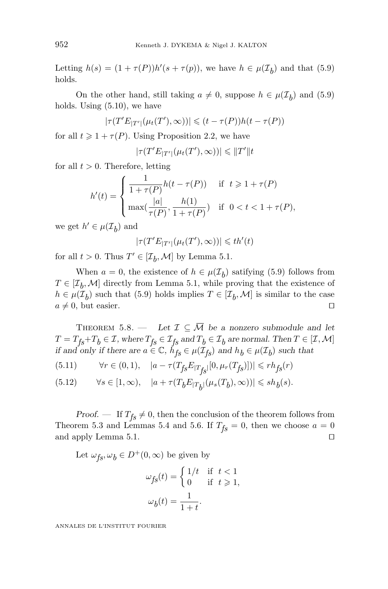Letting  $h(s) = (1 + \tau(P))h'(s + \tau(p))$ , we have  $h \in \mu(\mathcal{I}_b)$  and that (5.9) holds.

On the other hand, still taking  $a \neq 0$ , suppose  $h \in \mu(\mathcal{I}_h)$  and (5.9) holds. Using (5.10), we have

$$
|\tau(T'E_{|T'|}(\mu_t(T'),\infty))| \leq (t-\tau(P))h(t-\tau(P))
$$

for all  $t \geq 1 + \tau(P)$ . Using Proposition 2.2, we have

$$
|\tau(T'E_{|T'|}(\mu_t(T'),\infty))| \leq ||T'||t
$$

for all  $t > 0$ . Therefore, letting

$$
h'(t) = \begin{cases} \frac{1}{1+\tau(P)} h(t-\tau(P)) & \text{if } t \geq 1+\tau(P) \\ \max(\frac{|a|}{\tau(P)}, \frac{h(1)}{1+\tau(P)}) & \text{if } 0 < t < 1+\tau(P), \end{cases}
$$

we get  $h' \in \mu(\mathcal{I}_h)$  and

$$
|\tau(T'E_{|T'|}(\mu_t(T'),\infty))| \leq t h'(t)
$$

for all  $t > 0$ . Thus  $T' \in [\mathcal{I}_b, \mathcal{M}]$  by Lemma 5.1.

When  $a = 0$ , the existence of  $h \in \mu(\mathcal{I}_h)$  satifying (5.9) follows from  $T \in [\mathcal{I}_h, \mathcal{M}]$  directly from Lemma 5.1, while proving that the existence of  $h \in \mu(\mathcal{I}_b)$  such that (5.9) holds implies  $T \in [\mathcal{I}_b, \mathcal{M}]$  is similar to the case  $a \neq 0$ , but easier.  $a \neq 0$ , but easier.

THEOREM 5.8. — Let  $\mathcal{I} \subseteq \overline{\mathcal{M}}$  be a nonzero submodule and let  $T = T_{fs} + T_b \in \mathcal{I}$ , where  $T_{fs} \in \mathcal{I}_{fs}$  and  $T_b \in \mathcal{I}_b$  are normal. Then  $T \in [\mathcal{I}, \mathcal{M}]$ *if and only if there are*  $a \in \mathbb{C}$ ,  $h'_{fs} \in \mu(\mathcal{I}_{fs})$  *and*  $h_b \in \mu(\mathcal{I}_b)$  *such that* 

$$
(5.11) \qquad \forall r\in (0,1), \quad |a-\tau(T_{\mathit{fs}}E_{\vert T_{\mathit{fs}}\vert}[0,\mu_r(T_{\mathit{fs}})])|\leqslant rh_{\mathit{fs}}(r)
$$

$$
(5.12) \qquad \forall s\in [1,\infty), \quad |a+\tau(T_bE_{|T_{\hat{b}}|}(\mu_s(T_b),\infty))|\leqslant sh_b(s).
$$

*Proof.* — If  $T_{fs} \neq 0$ , then the conclusion of the theorem follows from Theorem 5.3 and Lemmas 5.4 and 5.6. If  $T_{fs} = 0$ , then we choose  $a = 0$ and apply Lemma 5.1.

Let  $\omega_{fs}, \omega_b \in D^+(0, \infty)$  be given by

$$
\omega_{fs}(t) = \begin{cases} 1/t & \text{if } t < 1 \\ 0 & \text{if } t \ge 1, \end{cases}
$$

$$
\omega_b(t) = \frac{1}{1+t}.
$$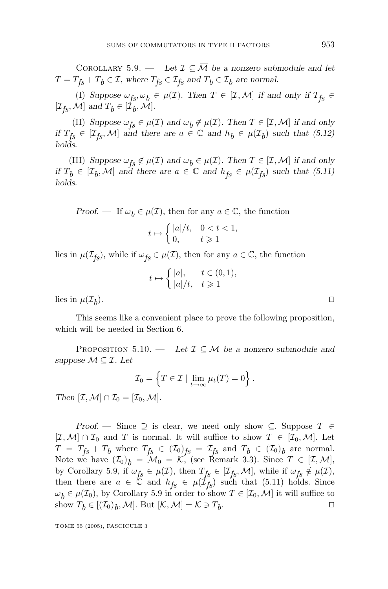COROLLARY 5.9. — Let  $\mathcal{I} \subseteq \overline{\mathcal{M}}$  be a nonzero submodule and let  $T = T_{fs} + T_b \in \mathcal{I}$ , where  $T_{fs} \in \mathcal{I}_{fs}$  and  $T_b \in \mathcal{I}_b$  are normal.

(I) Suppose  $\omega_{fs}, \omega_b \in \mu(\mathcal{I})$ *.* Then  $T \in [\mathcal{I}, \mathcal{M}]$  if and only if  $T_{fs} \in$  $[\mathcal{I}_{fs}, \mathcal{M}]$  and  $T_b \in [\mathcal{I}_b, \mathcal{M}]$ .

(II) *Suppose*  $\omega_{fs} \in \mu(\mathcal{I})$  *and*  $\omega_b \notin \mu(\mathcal{I})$ *. Then*  $T \in [\mathcal{I}, \mathcal{M}]$  *if and only if*  $T_{fs} \in [\mathcal{I}_{fs}, \mathcal{M}]$  *and there are*  $a \in \mathbb{C}$  *and*  $h_b \in \mu(\mathcal{I}_b)$  *such that* (5.12) *holds.*

(III) *Suppose*  $\omega_{fs} \notin \mu(\mathcal{I})$  *and*  $\omega_b \in \mu(\mathcal{I})$ *. Then*  $T \in [\mathcal{I}, \mathcal{M}]$  *if and only if*  $T_b \in [I_b, M]$  *and* there are  $a \in \mathbb{C}$  *and*  $h_{fs} \in \mu(\mathcal{I}_{fs})$  *such that* (5.11) *holds.*

*Proof.* — If  $\omega_b \in \mu(\mathcal{I})$ , then for any  $a \in \mathbb{C}$ , the function

$$
t \mapsto \begin{cases} |a|/t, & 0 < t < 1, \\ 0, & t \geqslant 1 \end{cases}
$$

lies in  $\mu(\mathcal{I}_{fs})$ , while if  $\omega_{fs} \in \mu(\mathcal{I})$ , then for any  $a \in \mathbb{C}$ , the function

$$
t \mapsto \begin{cases} |a|, & t \in (0,1), \\ |a|/t, & t \geqslant 1 \end{cases}
$$

lies in  $\mu(\mathcal{I}_h)$ .

This seems like a convenient place to prove the following proposition, which will be needed in Section 6.

PROPOSITION 5.10. — Let  $\mathcal{I} \subseteq \overline{\mathcal{M}}$  be a nonzero submodule and *suppose*  $M \subseteq I$ *. Let* 

$$
\mathcal{I}_0 = \left\{ T \in \mathcal{I} \mid \lim_{t \to \infty} \mu_t(T) = 0 \right\}.
$$

*Then*  $[\mathcal{I}, \mathcal{M}] \cap \mathcal{I}_0 = [\mathcal{I}_0, \mathcal{M}]$ *.* 

*Proof.* — Since  $\supseteq$  is clear, we need only show  $\subseteq$ . Suppose  $T \in$  $[\mathcal{I}, \mathcal{M}] \cap \mathcal{I}_0$  and *T* is normal. It will suffice to show  $T \in [\mathcal{I}_0, \mathcal{M}]$ . Let  $T = T_{fs} + T_b$  where  $T_{fs} \in (\mathcal{I}_0)_{fs} = \mathcal{I}_{fs}$  and  $T_b \in (\mathcal{I}_0)_b$  are normal. Note we have  $(\mathcal{I}_0)_b = \mathcal{M}_0 = \mathcal{K}$ , (see Remark 3.3). Since  $T \in [\mathcal{I}, \mathcal{M}]$ , by Corollary 5.9, if  $\omega_{fs} \in \mu(\mathcal{I})$ , then  $T_{fs} \in [\mathcal{I}_{fs}, \mathcal{M}]$ , while if  $\omega_{fs} \notin \mu(\mathcal{I})$ , then there are  $a \in \mathbb{C}$  and  $h_{fs} \in \mu(\mathcal{I}_{fs})$  such that (5.11) holds. Since  $\omega_b \in \mu(\mathcal{I}_0)$ , by Corollary 5.9 in order to show  $T \in [\mathcal{I}_0, \mathcal{M}]$  it will suffice to show  $T_b \in [(T_0)_b, \mathcal{M}]$ . But  $[\mathcal{K}, \mathcal{M}] = \mathcal{K} \ni T_b$ .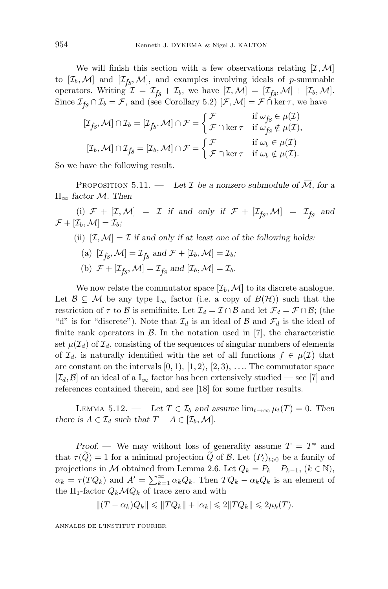We will finish this section with a few observations relating  $[\mathcal{I},\mathcal{M}]$ to  $[\mathcal{I}_b, \mathcal{M}]$  and  $[\mathcal{I}_{fs}, \mathcal{M}]$ , and examples involving ideals of *p*-summable operators. Writing  $\mathcal{I} = \mathcal{I}_{fs} + \mathcal{I}_b$ , we have  $[\mathcal{I}, \mathcal{M}] = [\mathcal{I}_{fs}, \mathcal{M}] + [\mathcal{I}_b, \mathcal{M}].$ Since  $\mathcal{I}_{fs} \cap \mathcal{I}_b = \mathcal{F}$ , and (see Corollary 5.2)  $[\mathcal{F}, \mathcal{M}] = \mathcal{F} \cap \text{ker } \tau$ , we have

$$
[\mathcal{I}_{f_S}, \mathcal{M}] \cap \mathcal{I}_b = [\mathcal{I}_{f_S}, \mathcal{M}] \cap \mathcal{F} = \begin{cases} \mathcal{F} & \text{if } \omega_{f_S} \in \mu(\mathcal{I}) \\ \mathcal{F} \cap \ker \tau & \text{if } \omega_{f_S} \notin \mu(\mathcal{I}), \end{cases}
$$

$$
[\mathcal{I}_b, \mathcal{M}] \cap \mathcal{I}_{f_S} = [\mathcal{I}_b, \mathcal{M}] \cap \mathcal{F} = \begin{cases} \mathcal{F} & \text{if } \omega_b \in \mu(\mathcal{I}) \\ \mathcal{F} \cap \ker \tau & \text{if } \omega_b \notin \mu(\mathcal{I}). \end{cases}
$$

So we have the following result.

PROPOSITION 5.11. — Let  $\mathcal I$  be a nonzero submodule of  $\overline{\mathcal M}$ , for a II<sup>∞</sup> *factor* M*. Then*

(i)  $\mathcal{F} + [\mathcal{I}, \mathcal{M}] = \mathcal{I}$  *if and only if*  $\mathcal{F} + [\mathcal{I}_{fs}, \mathcal{M}] = \mathcal{I}_{fs}$  *and*  $\mathcal{F} + [\mathcal{I}_b, \mathcal{M}] = \mathcal{I}_b$ ;

- (ii)  $[\mathcal{I}, \mathcal{M}] = \mathcal{I}$  *if and only if at least one of the following holds:* 
	- (a)  $[\mathcal{I}_{f_S}, \mathcal{M}] = \mathcal{I}_{f_S}$  and  $\mathcal{F} + [\mathcal{I}_b, \mathcal{M}] = \mathcal{I}_b$ ;
	- (b)  $\mathcal{F} + [\mathcal{I}_{fs}, \mathcal{M}] = \mathcal{I}_{fs}$  and  $[\mathcal{I}_b, \mathcal{M}] = \mathcal{I}_b$ .

We now relate the commutator space  $[\mathcal{I}_b, \mathcal{M}]$  to its discrete analogue. Let  $\mathcal{B} \subseteq \mathcal{M}$  be any type I<sub>∞</sub> factor (i.e. a copy of  $B(\mathcal{H})$ ) such that the restriction of  $\tau$  to  $\beta$  is semifinite. Let  $\mathcal{I}_d = \mathcal{I} \cap \beta$  and let  $\mathcal{F}_d = \mathcal{F} \cap \beta$ ; (the "d" is for "discrete"). Note that  $\mathcal{I}_d$  is an ideal of  $\mathcal B$  and  $\mathcal F_d$  is the ideal of finite rank operators in  $\mathcal{B}$ . In the notation used in [7], the characteristic set  $\mu(\mathcal{I}_d)$  of  $\mathcal{I}_d$ , consisting of the sequences of singular numbers of elements of  $\mathcal{I}_d$ , is naturally identified with the set of all functions  $f \in \mu(\mathcal{I})$  that are constant on the intervals  $[0, 1)$ ,  $[1, 2)$ ,  $[2, 3)$ , .... The commutator space  $[\mathcal{I}_d, \mathcal{B}]$  of an ideal of a  $I_{\infty}$  factor has been extensively studied — see [7] and references contained therein, and see [18] for some further results.

LEMMA 5.12. — Let  $T \in \mathcal{I}_b$  and assume  $\lim_{t \to \infty} \mu_t(T) = 0$ . Then *there is*  $A \in \mathcal{I}_d$  *such that*  $T - A \in [\mathcal{I}_b, \mathcal{M}]$ *.* 

*Proof.* — We may without loss of generality assume  $T = T^*$  and that  $\tau(Q) = 1$  for a minimal projection *Q* of *B*. Let  $(P_t)_{t \geq 0}$  be a family of projections in M obtained from Lemma 2.6. Let  $Q_k = P_k - P_{k-1}$ ,  $(k \in \mathbb{N})$ ,  $\alpha_k = \tau(TQ_k)$  and  $A' = \sum_{k=1}^{\infty} \alpha_k Q_k$ . Then  $TQ_k - \alpha_k Q_k$  is an element of the II<sub>1</sub>-factor  $Q_k \mathcal{M} Q_k$  of trace zero and with

$$
||(T - \alpha_k)Q_k|| \leq ||TQ_k|| + |\alpha_k| \leq 2||TQ_k|| \leq 2\mu_k(T).
$$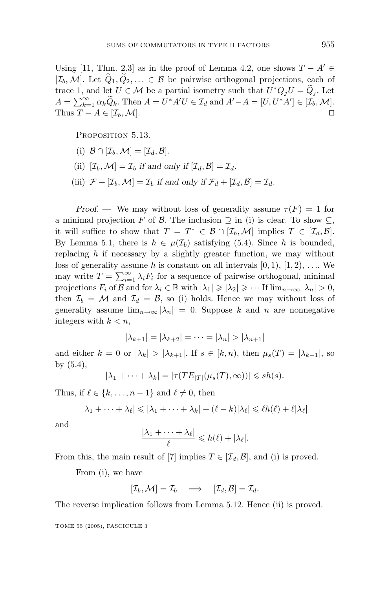Using [11, Thm. 2.3] as in the proof of Lemma 4.2, one shows  $T - A' \in$  $[\mathcal{I}_b, \mathcal{M}]$ . Let  $Q_1, Q_2, \ldots \in \mathcal{B}$  be pairwise orthogonal projections, each of trace 1, and let  $U \in \mathcal{M}$  be a partial isometry such that  $U^*Q_iU = \widetilde{Q}_i$ . Let  $A = \sum_{k=1}^{\infty} \alpha_k \widetilde{Q}_k$ . Then  $A = U^* A' U \in \mathcal{I}_d$  and  $A' - A = [U, U^* A'] \in [\mathcal{I}_b, \mathcal{M}]$ . Thus  $T - A \in [\mathcal{I}_b, \mathcal{M}].$ 

PROPOSITION 5.13.

- (i)  $\mathcal{B} \cap [\mathcal{I}_b, \mathcal{M}] = [\mathcal{I}_d, \mathcal{B}].$
- (ii)  $[\mathcal{I}_b, \mathcal{M}] = \mathcal{I}_b$  *if and only if*  $[\mathcal{I}_d, \mathcal{B}] = \mathcal{I}_d$ *.*
- (iii)  $\mathcal{F} + [\mathcal{I}_b, \mathcal{M}] = \mathcal{I}_b$  *if and only if*  $\mathcal{F}_d + [\mathcal{I}_d, \mathcal{B}] = \mathcal{I}_d$ *.*

*Proof.* — We may without loss of generality assume  $\tau(F) = 1$  for a minimal projection *F* of *B*. The inclusion  $\supseteq$  in (i) is clear. To show  $\subseteq$ , it will suffice to show that  $T = T^* \in \mathcal{B} \cap [\mathcal{I}_b, \mathcal{M}]$  implies  $T \in [\mathcal{I}_d, \mathcal{B}].$ By Lemma 5.1, there is  $h \in \mu(\mathcal{I}_b)$  satisfying (5.4). Since *h* is bounded, replacing *h* if necessary by a slightly greater function, we may without loss of generality assume h is constant on all intervals  $[0, 1)$ ,  $[1, 2)$ , .... We may write  $T = \sum_{i=1}^{\infty} \lambda_i F_i$  for a sequence of pairwise orthogonal, minimal projections  $F_i$  of  $\mathcal{B}$  and for  $\lambda_i \in \mathbb{R}$  with  $|\lambda_1| \geqslant |\lambda_2| \geqslant \cdots$  If  $\lim_{n \to \infty} |\lambda_n| > 0$ , then  $\mathcal{I}_b = \mathcal{M}$  and  $\mathcal{I}_d = \mathcal{B}$ , so (i) holds. Hence we may without loss of generality assume  $\lim_{n\to\infty} |\lambda_n| = 0$ . Suppose *k* and *n* are nonnegative integers with  $k < n$ ,

$$
|\lambda_{k+1}| = |\lambda_{k+2}| = \cdots = |\lambda_n| > |\lambda_{n+1}|
$$

and either  $k = 0$  or  $|\lambda_k| > |\lambda_{k+1}|$ . If  $s \in [k, n)$ , then  $\mu_s(T) = |\lambda_{k+1}|$ , so by (5.4),

$$
|\lambda_1 + \cdots + \lambda_k| = |\tau(TE_{|T|}(\mu_s(T), \infty))| \leqslant sh(s).
$$

Thus, if  $\ell \in \{k, \ldots, n-1\}$  and  $\ell \neq 0$ , then

$$
|\lambda_1 + \cdots + \lambda_\ell| \leq |\lambda_1 + \cdots + \lambda_k| + (\ell - k)|\lambda_\ell| \leq \ell h(\ell) + \ell |\lambda_\ell|
$$

and

$$
\frac{|\lambda_1 + \dots + \lambda_\ell|}{\ell} \leq h(\ell) + |\lambda_\ell|.
$$

From this, the main result of [7] implies  $T \in [\mathcal{I}_d, \mathcal{B}]$ , and (i) is proved.

From (i), we have

$$
[\mathcal{I}_b,\mathcal{M}]=\mathcal{I}_b\quad\Longrightarrow\quad [\mathcal{I}_d,\mathcal{B}]=\mathcal{I}_d.
$$

The reverse implication follows from Lemma 5.12. Hence (ii) is proved.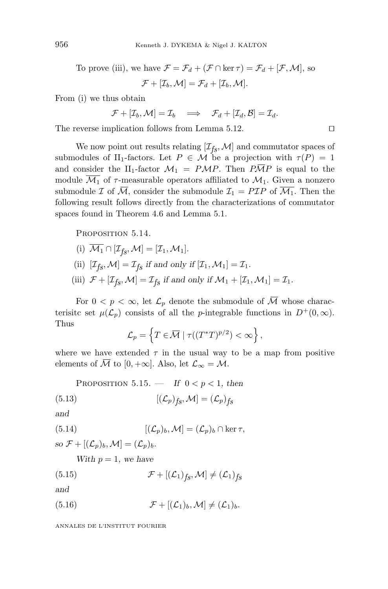To prove (iii), we have  $\mathcal{F} = \mathcal{F}_d + (\mathcal{F} \cap \ker \tau) = \mathcal{F}_d + [\mathcal{F}, \mathcal{M}]$ , so

 $\mathcal{F} + [\mathcal{I}_b, \mathcal{M}] = \mathcal{F}_d + [\mathcal{I}_b, \mathcal{M}]$ .

From (i) we thus obtain

$$
\mathcal{F} + [\mathcal{I}_b, \mathcal{M}] = \mathcal{I}_b \implies \mathcal{F}_d + [\mathcal{I}_d, \mathcal{B}] = \mathcal{I}_d.
$$

The reverse implication follows from Lemma 5.12.

We now point out results relating  $[\mathcal{I}_{fs}, \mathcal{M}]$  and commutator spaces of submodules of II<sub>1</sub>-factors. Let  $P \in \mathcal{M}$  be a projection with  $\tau(P)=1$ and consider the II<sub>1</sub>-factor  $\mathcal{M}_1 = P\mathcal{M}P$ . Then  $P\overline{\mathcal{M}}P$  is equal to the module  $\overline{\mathcal{M}_1}$  of  $\tau$ -measurable operators affiliated to  $\mathcal{M}_1$ . Given a nonzero submodule  $\mathcal I$  of  $\overline{\mathcal M}$ , consider the submodule  $\mathcal I_1 = P\mathcal I P$  of  $\overline{\mathcal M_1}$ . Then the following result follows directly from the characterizations of commutator spaces found in Theorem 4.6 and Lemma 5.1.

PROPOSITION 5.14.

- (i)  $\overline{\mathcal{M}_1} \cap [\mathcal{I}_{f_S}, \mathcal{M}] = [\mathcal{I}_1, \mathcal{M}_1].$ (ii)  $[\mathcal{I}_{fs}, \mathcal{M}] = \mathcal{I}_{fs}$  *if and only if*  $[\mathcal{I}_1, \mathcal{M}_1] = \mathcal{I}_1$ *.*
- (iii)  $\mathcal{F} + [\mathcal{I}_{fs}, \mathcal{M}] = \mathcal{I}_{fs}$  *if and only if*  $\mathcal{M}_1 + [\mathcal{I}_1, \mathcal{M}_1] = \mathcal{I}_1$ *.*

For  $0 < p < \infty$ , let  $\mathcal{L}_p$  denote the submodule of  $\overline{\mathcal{M}}$  whose characterisite set  $\mu(\mathcal{L}_p)$  consists of all the *p*-integrable functions in  $D^+(0,\infty)$ . Thus

$$
\mathcal{L}_p = \left\{ T \in \overline{\mathcal{M}} \mid \tau((T^*T)^{p/2}) < \infty \right\},\
$$

where we have extended  $\tau$  in the usual way to be a map from positive elements of  $\overline{\mathcal{M}}$  to [0, +∞]. Also, let  $\mathcal{L}_{\infty} = \mathcal{M}$ .

PROPOSITION 5.15. — If  $0 < p < 1$ , then

(5.13) 
$$
[(\mathcal{L}_p)_{fs}, \mathcal{M}] = (\mathcal{L}_p)_{fs}
$$

*and*

(5.14) 
$$
[(\mathcal{L}_p)_b, \mathcal{M}] = (\mathcal{L}_p)_b \cap \ker \tau,
$$

*so*  $\mathcal{F} + [(\mathcal{L}_p)_b, \mathcal{M}] = (\mathcal{L}_p)_b$ .

*With*  $p = 1$ *, we have* 

(5.15) 
$$
\mathcal{F} + [(\mathcal{L}_1)_{fs}, \mathcal{M}] \neq (\mathcal{L}_1)_{fs}
$$

*and*

(5.16)  $\mathcal{F} + [(\mathcal{L}_1)_b, \mathcal{M}] \neq (\mathcal{L}_1)_b$ .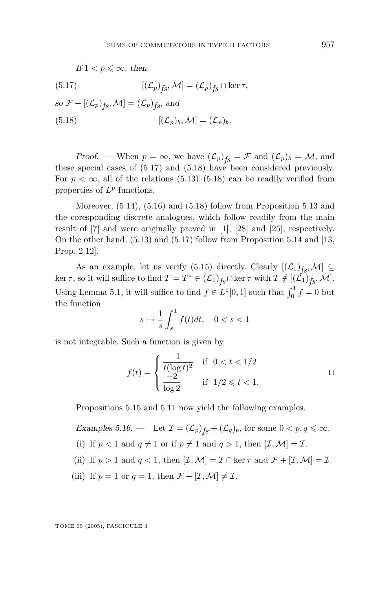*If*  $1 < p \leq \infty$ *, then* 

(5.17) 
$$
[(\mathcal{L}_p)_{f\mathcal{S}}, \mathcal{M}] = (\mathcal{L}_p)_{f\mathcal{S}} \cap \ker \tau,
$$

*so*  $\mathcal{F} + [(\mathcal{L}_p)_{fs}, \mathcal{M}] = (\mathcal{L}_p)_{fs}$ *, and* (5.18)  $[(\mathcal{L}_p)_b, \mathcal{M}] = (\mathcal{L}_p)_b.$ 

*Proof.* — When  $p = \infty$ , we have  $(\mathcal{L}_p)_{fs} = \mathcal{F}$  and  $(\mathcal{L}_p)_b = \mathcal{M}$ , and these special cases of (5.17) and (5.18) have been considered previously. For  $p < \infty$ , all of the relations  $(5.13)$ – $(5.18)$  can be readily verified from properties of *Lp*-functions.

Moreover,  $(5.14)$ ,  $(5.16)$  and  $(5.18)$  follow from Proposition 5.13 and the coresponding discrete analogues, which follow readily from the main result of [7] and were originally proved in [1], [28] and [25], respectively. On the other hand, (5.13) and (5.17) follow from Proposition 5.14 and [13, Prop. 2.12].

As an example, let us verify (5.15) directly. Clearly  $[(\mathcal{L}_1)_{f,g}, \mathcal{M}] \subseteq$ ker  $\tau$ , so it will suffice to find  $T = T^* \in (\mathcal{L}_1)_{f_{\mathcal{S}}} \cap \text{ker } \tau$  with  $T \notin [(\mathcal{L}_1)_{f_{\mathcal{S}}},\mathcal{M}]$ . Using Lemma 5.1, it will suffice to find  $f \in L^1[0,1]$  such that  $\int_0^1 f = 0$  but the function

$$
s \mapsto \frac{1}{s} \int_s^1 f(t)dt, \quad 0 < s < 1
$$

is not integrable. Such a function is given by

$$
f(t) = \begin{cases} \frac{1}{t(\log t)^2} & \text{if } 0 < t < 1/2\\ \frac{-2}{\log 2} & \text{if } 1/2 \leq t < 1. \end{cases}
$$

Propositions 5.15 and 5.11 now yield the following examples.

*Examples 5.16.* — Let  $\mathcal{I} = (\mathcal{L}_p)_{fs} + (\mathcal{L}_q)_b$ , for some  $0 < p, q \leq \infty$ . (i) If  $p < 1$  and  $q \neq 1$  or if  $p \neq 1$  and  $q > 1$ , then  $[\mathcal{I}, \mathcal{M}] = \mathcal{I}$ . (ii) If  $p > 1$  and  $q < 1$ , then  $[\mathcal{I}, \mathcal{M}] = \mathcal{I} \cap \ker \tau$  and  $\mathcal{F} + [\mathcal{I}, \mathcal{M}] = \mathcal{I}$ . (iii) If  $p = 1$  or  $q = 1$ , then  $\mathcal{F} + [\mathcal{I}, \mathcal{M}] \neq \mathcal{I}$ .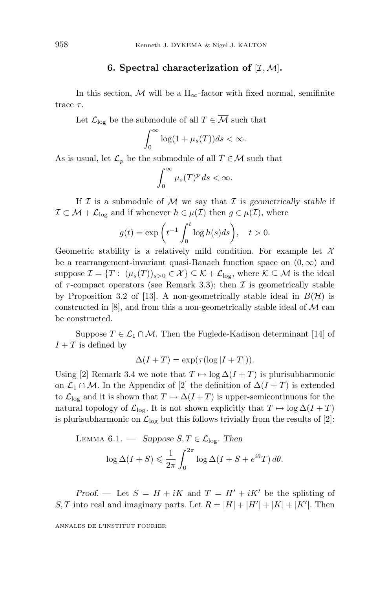#### **6. Spectral characterization of**  $[I, M]$ **.**

In this section, M will be a  $\Pi_{\infty}$ -factor with fixed normal, semifinite trace *τ* .

Let  $\mathcal{L}_{\text{log}}$  be the submodule of all  $T \in \overline{\mathcal{M}}$  such that

$$
\int_0^\infty \log(1 + \mu_s(T)) ds < \infty.
$$

As is usual, let  $\mathcal{L}_p$  be the submodule of all  $T \in \overline{\mathcal{M}}$  such that

$$
\int_0^\infty \mu_s(T)^p \, ds < \infty.
$$

If  $\mathcal I$  is a submodule of  $\overline{\mathcal M}$  we say that  $\mathcal I$  is *geometrically stable* if  $\mathcal{I} \subset \mathcal{M} + \mathcal{L}_{\text{log}}$  and if whenever  $h \in \mu(\mathcal{I})$  then  $g \in \mu(\mathcal{I})$ , where

$$
g(t) = \exp\left(t^{-1} \int_0^t \log h(s) ds\right), \quad t > 0.
$$

Geometric stability is a relatively mild condition. For example let  $\mathcal X$ be a rearrangement-invariant quasi-Banach function space on  $(0, \infty)$  and suppose  $\mathcal{I} = \{T : (\mu_s(T))_{s>0} \in \mathcal{X}\}\subseteq \mathcal{K} + \mathcal{L}_{\text{log}}$ , where  $\mathcal{K} \subseteq \mathcal{M}$  is the ideal of  $\tau$ -compact operators (see Remark 3.3); then  $\mathcal I$  is geometrically stable by Proposition 3.2 of [13]. A non-geometrically stable ideal in  $B(\mathcal{H})$  is constructed in  $[8]$ , and from this a non-geometrically stable ideal of  $M$  can be constructed.

Suppose  $T \in \mathcal{L}_1 \cap \mathcal{M}$ . Then the Fuglede-Kadison determinant [14] of  $I + T$  is defined by

$$
\Delta(I+T) = \exp(\tau(\log|I+T|)).
$$

Using [2] Remark 3.4 we note that  $T \mapsto \log \Delta(I+T)$  is plurisubharmonic on  $\mathcal{L}_1 \cap \mathcal{M}$ . In the Appendix of [2] the definition of  $\Delta(I+T)$  is extended to  $\mathcal{L}_{\text{log}}$  and it is shown that  $T \mapsto \Delta(I+T)$  is upper-semicontinuous for the natural topology of  $\mathcal{L}_{\text{log}}$ . It is not shown explicitly that  $T \mapsto \log \Delta(I + T)$ is plurisubharmonic on  $\mathcal{L}_{\text{log}}$  but this follows trivially from the results of [2]:

LEMMA 6.1. — Suppose 
$$
S, T \in \mathcal{L}_{log}
$$
. Then  
\n
$$
\log \Delta(I+S) \leq \frac{1}{2\pi} \int_0^{2\pi} \log \Delta(I+S+e^{i\theta}T) d\theta.
$$

*Proof.* — Let  $S = H + iK$  and  $T = H' + iK'$  be the splitting of *S, T* into real and imaginary parts. Let  $R = |H| + |H'| + |K| + |K'|$ . Then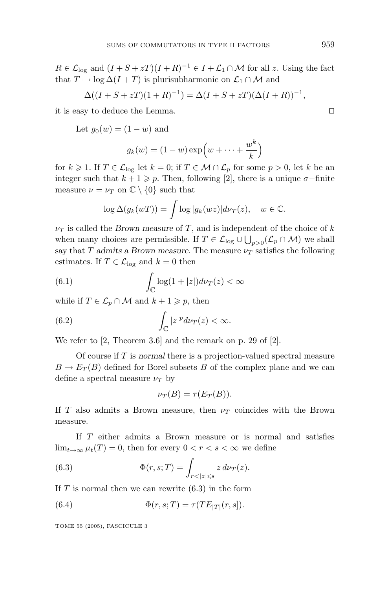$R \in \mathcal{L}_{\text{log}}$  and  $(I + S + zT)(I + R)^{-1} \in I + \mathcal{L}_1 \cap \mathcal{M}$  for all *z*. Using the fact that  $T \mapsto \log \Delta(I+T)$  is plurisubharmonic on  $\mathcal{L}_1 \cap \mathcal{M}$  and

$$
\Delta((I + S + zT)(1 + R)^{-1}) = \Delta(I + S + zT)(\Delta(I + R))^{-1},
$$

it is easy to deduce the Lemma.

Let 
$$
g_0(w) = (1 - w)
$$
 and

$$
g_k(w) = (1 - w) \exp\left(w + \dots + \frac{w^k}{k}\right)
$$

for  $k \geq 1$ . If  $T \in \mathcal{L}_{\log}$  let  $k = 0$ ; if  $T \in \mathcal{M} \cap \mathcal{L}_p$  for some  $p > 0$ , let  $k$  be an integer such that  $k + 1 \geq p$ . Then, following [2], there is a unique  $\sigma$ -finite measure  $\nu = \nu_T$  on  $\mathbb{C} \setminus \{0\}$  such that

$$
\log \Delta(g_k(wT)) = \int \log |g_k(wz)| d\nu_T(z), \quad w \in \mathbb{C}.
$$

 $\nu_T$  is called the *Brown measure* of *T*, and is independent of the choice of *k* when many choices are permissible. If  $T \in \mathcal{L}_{\text{log}} \cup \bigcup_{p>0} (\mathcal{L}_p \cap \mathcal{M})$  we shall say that *T* admits a Brown measure. The measure  $\nu_T$  satisfies the following estimates. If  $T \in \mathcal{L}_{\text{log}}$  and  $k = 0$  then

(6.1) 
$$
\int_{\mathbb{C}} \log(1+|z|) d\nu_T(z) < \infty
$$

while if  $T \in \mathcal{L}_p \cap \mathcal{M}$  and  $k + 1 \geqslant p$ , then

(6.2) 
$$
\int_{\mathbb{C}} |z|^p d\nu_T(z) < \infty.
$$

We refer to [2, Theorem 3.6] and the remark on p. 29 of [2].

Of course if *T* is *normal* there is a projection-valued spectral measure  $B \to E_T(B)$  defined for Borel subsets *B* of the complex plane and we can define a spectral measure  $\nu_T$  by

$$
\nu_T(B) = \tau(E_T(B)).
$$

If *T* also admits a Brown measure, then *ν<sup>T</sup>* coincides with the Brown measure.

If *T* either admits a Brown measure or is normal and satisfies  $\lim_{t\to\infty}\mu_t(T)=0$ , then for every  $0 < r < s < \infty$  we define

(6.3) 
$$
\Phi(r,s;T) = \int_{r<|z|\leq s} z \, d\nu_T(z).
$$

If *T* is normal then we can rewrite (6.3) in the form

(6.4) 
$$
\Phi(r, s; T) = \tau(TE_{|T|}(r, s)).
$$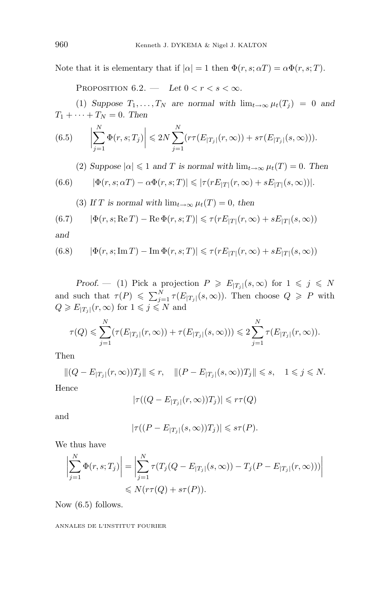Note that it is elementary that if  $|\alpha| = 1$  then  $\Phi(r, s; \alpha T) = \alpha \Phi(r, s; T)$ .

PROPOSITION  $6.2.$  — Let  $0 < r < s < \infty$ .

(1) *Suppose*  $T_1, \ldots, T_N$  *are normal with*  $\lim_{t\to\infty} \mu_t(T_j) = 0$  *and*  $T_1 + \cdots + T_N = 0$ . Then

(6.5) 
$$
\left| \sum_{j=1}^{N} \Phi(r, s; T_j) \right| \leq 2N \sum_{j=1}^{N} \left( r \tau(E_{|T_j|}(r, \infty)) + s \tau(E_{|T_j|}(s, \infty)) \right).
$$

(2) *Suppose*  $|\alpha| \leq 1$  *and T* is normal with  $\lim_{t\to\infty} \mu_t(T) = 0$ . Then

(6.6) 
$$
|\Phi(r,s;\alpha T)-\alpha\Phi(r,s;T)| \leq |\tau(rE_{|T|}(r,\infty)+sE_{|T|}(s,\infty))|.
$$

(3) *If T* is normal with  $\lim_{t\to\infty} \mu_t(T) = 0$ , then

$$
(6.7) \qquad |\Phi(r,s; {\rm Re\,} T)-{\rm Re\,}\Phi(r,s;T)|\leqslant \tau(r E_{|T|}(r,\infty)+s E_{|T|}(s,\infty))
$$

*and*

(6.8) 
$$
|\Phi(r, s; \operatorname{Im} T) - \operatorname{Im} \Phi(r, s; T)| \leq \tau(rE_{|T|}(r, \infty) + sE_{|T|}(s, \infty))
$$

*Proof.* — (1) Pick a projection  $P \ge E_{|T_j|}(s,\infty)$  for  $1 \le j \le N$ and such that  $\tau(P) \leq \sum_{j=1}^{N} \tau(E_{|T_j|}(s,\infty))$ . Then choose  $Q \geq P$  with  $Q \geqslant E_{|T_j|}(r, \infty)$  for  $1 \leqslant j \leqslant N$  and

$$
\tau(Q) \leq \sum_{j=1}^{N} (\tau(E_{|T_j|}(r,\infty)) + \tau(E_{|T_j|}(s,\infty))) \leq 2\sum_{j=1}^{N} \tau(E_{|T_j|}(r,\infty)).
$$

Then

$$
||(Q - E_{|T_j|}(r, \infty))T_j|| \le r, \quad ||(P - E_{|T_j|}(s, \infty))T_j|| \le s, \quad 1 \le j \le N.
$$

Hence

$$
|\tau((Q - E_{|T_j|}(r, \infty))T_j)| \leqslant r\tau(Q)
$$

and

$$
|\tau((P-E_{|T_j|}(s,\infty))T_j)|\leqslant s\tau(P).
$$

We thus have

$$
\left| \sum_{j=1}^{N} \Phi(r, s; T_j) \right| = \left| \sum_{j=1}^{N} \tau(T_j(Q - E_{|T_j|}(s, \infty)) - T_j(P - E_{|T_j|}(r, \infty))) \right|
$$
  

$$
\leq N(r\tau(Q) + s\tau(P)).
$$

Now (6.5) follows.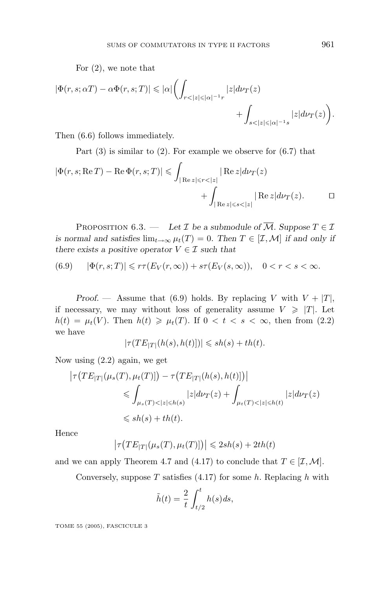For (2), we note that

$$
\begin{aligned} |\Phi(r,s;\alpha T)-\alpha\Phi(r,s;T)|&\leqslant |\alpha|\biggl(\int_{r<|z|\leqslant |\alpha|^{-1}r}|z|d\nu_T(z)\\ &\qquad\qquad+\int_{s<|z|\leqslant |\alpha|^{-1}s}|z|d\nu_T(z)\biggr). \end{aligned}
$$

Then (6.6) follows immediately.

Part (3) is similar to (2). For example we observe for (6.7) that

$$
|\Phi(r, s; \operatorname{Re} T) - \operatorname{Re} \Phi(r, s; T)| \leq \int_{|\operatorname{Re} z| \leq r < |z|} |\operatorname{Re} z| d\nu_T(z) + \int_{|\operatorname{Re} z| \leq s < |z|} |\operatorname{Re} z| d\nu_T(z). \qquad \Box
$$

PROPOSITION 6.3. — Let  $\mathcal{I}$  be a submodule of  $\overline{\mathcal{M}}$ . Suppose  $T \in \mathcal{I}$ *is normal and satisfies*  $\lim_{t\to\infty} \mu_t(T) = 0$ *. Then*  $T \in [\mathcal{I}, \mathcal{M}]$  *if and only if there exists a positive operator*  $V \in \mathcal{I}$  *such that* 

$$
(6.9) \qquad |\Phi(r,s;T)| \leqslant r\tau(E_V(r,\infty)) + s\tau(E_V(s,\infty)), \quad 0 < r < s < \infty.
$$

*Proof.* — Assume that (6.9) holds. By replacing *V* with  $V + |T|$ , if necessary, we may without loss of generality assume  $V \geq T$ . Let  $h(t) = \mu_t(V)$ . Then  $h(t) \ge \mu_t(T)$ . If  $0 < t < s < \infty$ , then from (2.2) we have

$$
|\tau(TE_{|T|}(h(s),h(t)])| \leqslant sh(s) + th(t).
$$

Now using (2.2) again, we get

$$
\left| \tau\big(TE_{|T|}(\mu_s(T), \mu_t(T)]\big) - \tau\big(TE_{|T|}(h(s), h(t)]\big) \right|
$$
  
\$\leqslant \int\_{\mu\_s(T) < |z| \leqslant h(s)} |z| d\nu\_T(z) + \int\_{\mu\_t(T) < |z| \leqslant h(t)} |z| d\nu\_T(z)\$  
\$\leqslant sh(s) + th(t).

Hence

$$
\left|\tau\big(TE_{|T|}(\mu_s(T), \mu_t(T)]\big)\right| \leqslant 2sh(s) + 2th(t)
$$

and we can apply Theorem 4.7 and (4.17) to conclude that  $T \in [\mathcal{I}, \mathcal{M}]$ .

Conversely, suppose *T* satisfies (4.17) for some *h*. Replacing *h* with

$$
\tilde{h}(t) = \frac{2}{t} \int_{t/2}^{t} h(s) ds,
$$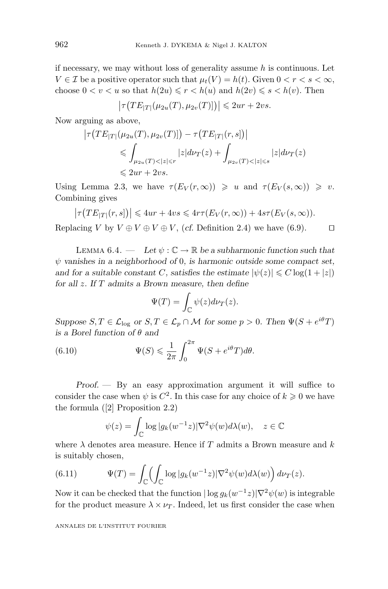if necessary, we may without loss of generality assume *h* is continuous. Let  $V \in \mathcal{I}$  be a positive operator such that  $\mu_t(V) = h(t)$ . Given  $0 < r < s < \infty$ , choose  $0 < v < u$  so that  $h(2u) \leq r < h(u)$  and  $h(2v) \leq s < h(v)$ . Then

$$
\left|\tau\big(TE_{|T|}(\mu_{2u}(T), \mu_{2v}(T)]\big)\right| \leq 2ur + 2vs.
$$

Now arguing as above,

$$
|\tau(TE_{|T|}(\mu_{2u}(T), \mu_{2v}(T)]) - \tau(TE_{|T|}(r, s))|
$$
  
\n
$$
\leq \int_{\mu_{2u}(T) < |z| \leq r} |z| d\nu_T(z) + \int_{\mu_{2v}(T) < |z| \leq s} |z| d\nu_T(z)
$$
  
\n
$$
\leq 2ur + 2vs.
$$

Using Lemma 2.3, we have  $\tau(E_V(r,\infty)) \geq u$  and  $\tau(E_V(s,\infty)) \geq v$ . Combining gives

$$
\big|\tau\big(TE_{|T|}(r,s]\big)\big| \leqslant 4ur + 4vs \leqslant 4r\tau\big(E_V(r,\infty)\big) + 4s\tau\big(E_V(s,\infty)\big).
$$

Replacing *V* by  $V \oplus V \oplus V \oplus V$ , (*cf.* Definition 2.4) we have (6.9).

LEMMA  $6.4.$  — Let  $\psi : \mathbb{C} \to \mathbb{R}$  be a subharmonic function such that *ψ vanishes in a neighborhood of* 0*, is harmonic outside some compact set, and for a suitable constant C, satisfies the estimate*  $|\psi(z)| \leq C \log(1 + |z|)$ *for all z. If T admits a Brown measure, then define*

$$
\Psi(T) = \int_{\mathbb{C}} \psi(z) d\nu_T(z).
$$

*Suppose*  $S, T \in \mathcal{L}_{\text{log}}$  *or*  $S, T \in \mathcal{L}_p \cap \mathcal{M}$  *for some*  $p > 0$ *. Then*  $\Psi(S + e^{i\theta}T)$ *is a Borel function of θ and*

(6.10) 
$$
\Psi(S) \leq \frac{1}{2\pi} \int_0^{2\pi} \Psi(S + e^{i\theta} T) d\theta.
$$

*Proof. —* By an easy approximation argument it will suffice to consider the case when  $\psi$  is  $C^2$ . In this case for any choice of  $k \geqslant 0$  we have the formula ([2] Proposition 2.2)

$$
\psi(z) = \int_{\mathbb{C}} \log |g_k(w^{-1}z)| \nabla^2 \psi(w) d\lambda(w), \quad z \in \mathbb{C}
$$

where *λ* denotes area measure. Hence if *T* admits a Brown measure and *k* is suitably chosen,

(6.11) 
$$
\Psi(T) = \int_{\mathbb{C}} \left( \int_{\mathbb{C}} \log |g_k(w^{-1}z)| \nabla^2 \psi(w) d\lambda(w) \right) d\nu_T(z).
$$

Now it can be checked that the function  $|\log g_k(w^{-1}z)|\nabla^2 \psi(w)$  is integrable for the product measure  $\lambda \times \nu_T$ . Indeed, let us first consider the case when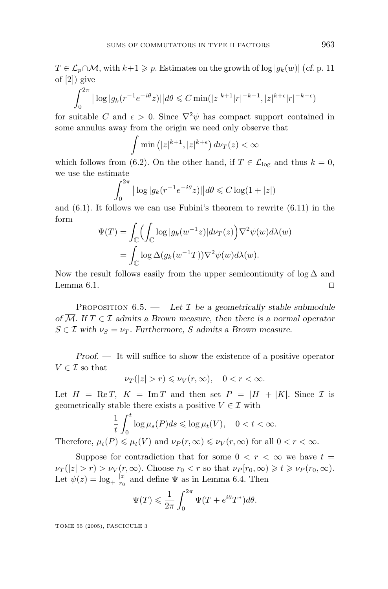*T* ∈  $\mathcal{L}_p$ ∩*M*, with *k*+1 ≥ *p*. Estimates on the growth of log | $g_k(w)$ | (*cf.* p. 11 of [2]) give

$$
\int_0^{2\pi} |\log |g_k(r^{-1}e^{-i\theta}z)| | d\theta \leq C \min(|z|^{k+1}|r|^{-k-1}, |z|^{k+\epsilon}|r|^{-k-\epsilon})
$$

for suitable *C* and  $\epsilon > 0$ . Since  $\nabla^2 \psi$  has compact support contained in some annulus away from the origin we need only observe that

$$
\int \min\left(|z|^{k+1}, |z|^{k+\epsilon}\right) d\nu_T(z) < \infty
$$

which follows from (6.2). On the other hand, if  $T \in \mathcal{L}_{\text{log}}$  and thus  $k = 0$ , we use the estimate

$$
\int_0^{2\pi} \left| \log |g_k(r^{-1}e^{-i\theta}z)| \right| d\theta \leqslant C \log(1+|z|)
$$

and (6.1). It follows we can use Fubini's theorem to rewrite (6.11) in the form

$$
\Psi(T) = \int_{\mathbb{C}} \left( \int_{\mathbb{C}} \log |g_k(w^{-1}z)| d\nu_T(z) \right) \nabla^2 \psi(w) d\lambda(w)
$$

$$
= \int_{\mathbb{C}} \log \Delta(g_k(w^{-1}T)) \nabla^2 \psi(w) d\lambda(w).
$$

Now the result follows easily from the upper semicontinuity of  $\log \Delta$  and Lemma 6.1.  $\Box$ 

PROPOSITION  $6.5.$  — Let  $\mathcal I$  be a geometrically stable submodule *of*  $\overline{M}$ *.* If  $T \in \mathcal{I}$  *admits a Brown measure, then there is a normal operator*  $S \in \mathcal{I}$  with  $\nu_S = \nu_T$ . Furthermore, *S* admits a Brown measure.

*Proof. —* It will suffice to show the existence of a positive operator  $V \in \mathcal{I}$  so that

$$
\nu_T(|z|>r)\leqslant \nu_V(r,\infty),\quad 0
$$

Let  $H = \text{Re } T$ ,  $K = \text{Im } T$  and then set  $P = |H| + |K|$ . Since  $\mathcal I$  is geometrically stable there exists a positive  $V \in \mathcal{I}$  with

$$
\frac{1}{t} \int_0^t \log \mu_s(P) ds \leq \log \mu_t(V), \quad 0 < t < \infty.
$$
  
Therefore,  $\mu_t(P) \leq \mu_t(V)$  and  $\nu_P(r, \infty) \leq \nu_V(r, \infty)$  for all  $0 < r < \infty$ .

Suppose for contradiction that for some  $0 < r < \infty$  we have  $t =$  $\nu_T(|z| > r) > \nu_V(r, \infty)$ . Choose  $r_0 < r$  so that  $\nu_P[r_0, \infty) \ge t \ge \nu_P(r_0, \infty)$ . Let  $\psi(z) = \log_{+} \frac{|z|}{r_0}$  and define  $\Psi$  as in Lemma 6.4. Then

$$
\Psi(T) \leq \frac{1}{2\pi} \int_0^{2\pi} \Psi(T + e^{i\theta} T^*) d\theta.
$$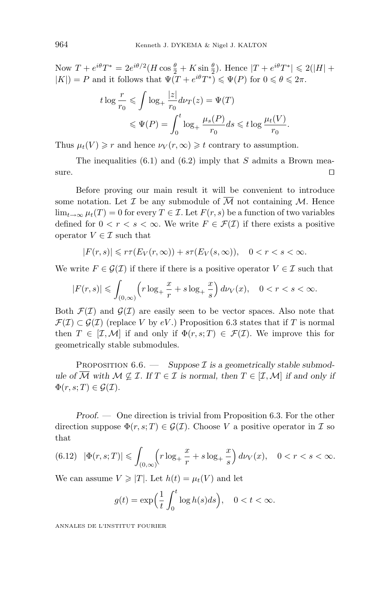Now  $T + e^{i\theta}T^* = 2e^{i\theta/2}(H\cos{\frac{\theta}{2}} + K\sin{\frac{\theta}{2}})$ . Hence  $|T + e^{i\theta}T^*| \leq 2(|H| +$  $|K|$ ) = *P* and it follows that  $\Psi(T + e^{i\theta}T^*) \leq \Psi(P)$  for  $0 \leq \theta \leq 2\pi$ .

$$
t \log \frac{r}{r_0} \leqslant \int \log_+ \frac{|z|}{r_0} d\nu_T(z) = \Psi(T)
$$
  

$$
\leqslant \Psi(P) = \int_0^t \log_+ \frac{\mu_s(P)}{r_0} ds \leqslant t \log \frac{\mu_t(V)}{r_0}.
$$

Thus  $\mu_t(V) \ge r$  and hence  $\nu_V(r, \infty) \ge t$  contrary to assumption.

The inequalities (6.1) and (6.2) imply that *S* admits a Brown measure.  $\Box$ 

Before proving our main result it will be convenient to introduce some notation. Let  $\mathcal I$  be any submodule of  $\overline{\mathcal M}$  not containing  $\mathcal M$ . Hence lim<sub> $t\rightarrow\infty$ </sub>  $\mu_t(T) = 0$  for every  $T \in \mathcal{I}$ . Let  $F(r, s)$  be a function of two variables defined for  $0 < r < s < \infty$ . We write  $F \in \mathcal{F}(\mathcal{I})$  if there exists a positive operator  $V \in \mathcal{I}$  such that

$$
|F(r,s)| \leqslant r\tau(E_V(r,\infty)) + s\tau(E_V(s,\infty)), \quad 0 < r < s < \infty.
$$

We write  $F \in \mathcal{G}(\mathcal{I})$  if there if there is a positive operator  $V \in \mathcal{I}$  such that

$$
|F(r,s)| \leqslant \int_{(0,\infty)} \left( r \log_+ \frac{x}{r} + s \log_+ \frac{x}{s} \right) d\nu_V(x), \quad 0 < r < s < \infty.
$$

Both  $\mathcal{F}(\mathcal{I})$  and  $\mathcal{G}(\mathcal{I})$  are easily seen to be vector spaces. Also note that  $\mathcal{F}(\mathcal{I}) \subset \mathcal{G}(\mathcal{I})$  (replace *V* by *eV*.) Proposition 6.3 states that if *T* is normal then  $T \in [\mathcal{I}, \mathcal{M}]$  if and only if  $\Phi(r, s; T) \in \mathcal{F}(\mathcal{I})$ . We improve this for geometrically stable submodules.

PROPOSITION  $6.6.$  - Suppose  $\mathcal I$  is a geometrically stable submod*ule of*  $\overline{M}$  *with*  $M \nsubseteq I$ *. If*  $T \in I$  *is normal, then*  $T \in [I, M]$  *if and only if*  $\Phi(r, s; T) \in \mathcal{G}(\mathcal{I}).$ 

*Proof. —* One direction is trivial from Proposition 6.3. For the other direction suppose  $\Phi(r, s; T) \in \mathcal{G}(\mathcal{I})$ . Choose V a positive operator in T so that

$$
(6.12)\ \ |\Phi(r,s;T)| \leq \int_{(0,\infty)} \left(r \log_+ \frac{x}{r} + s \log_+ \frac{x}{s}\right) d\nu_V(x), \quad 0 < r < s < \infty.
$$

We can assume  $V \geqslant |T|$ . Let  $h(t) = \mu_t(V)$  and let

$$
g(t) = \exp\left(\frac{1}{t} \int_0^t \log h(s)ds\right), \quad 0 < t < \infty.
$$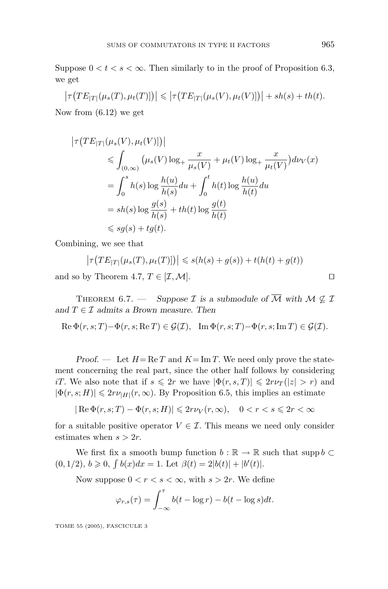Suppose  $0 < t < s < \infty$ . Then similarly to in the proof of Proposition 6.3, we get

$$
\left|\tau\big(TE_{|T|}(\mu_s(T),\mu_t(T))\big)\right|\leq \left|\tau\big(TE_{|T|}(\mu_s(V),\mu_t(V))\big)\right|+sh(s)+th(t).
$$

Now from (6.12) we get

$$
\left|\tau\left(TE_{|T|}(\mu_s(V), \mu_t(V))\right)\right|
$$
  
\n
$$
\leq \int_{(0,\infty)} \left(\mu_s(V)\log_+\frac{x}{\mu_s(V)} + \mu_t(V)\log_+\frac{x}{\mu_t(V)}\right) d\nu_V(x)
$$
  
\n
$$
= \int_0^s h(s) \log \frac{h(u)}{h(s)} du + \int_0^t h(t) \log \frac{h(u)}{h(t)} du
$$
  
\n
$$
= sh(s) \log \frac{g(s)}{h(s)} + th(t) \log \frac{g(t)}{h(t)}
$$
  
\n
$$
\leq s g(s) + tg(t).
$$

Combining, we see that

$$
\left|\tau\big(TE_{|T|}(\mu_s(T),\mu_t(T)]\big)\right| \leq s(h(s) + g(s)) + t(h(t) + g(t))
$$

and so by Theorem 4.7,  $T \in [\mathcal{I}, \mathcal{M}]$ .

THEOREM 6.7. — *Suppose*  $\mathcal{I}$  *is a submodule of*  $\overline{\mathcal{M}}$  *with*  $\mathcal{M} \nsubseteq \mathcal{I}$ and  $T \in \mathcal{I}$  *admits a Brown measure. Then* 

 $\text{Re }\Phi(r, s; T) - \Phi(r, s; \text{Re } T) \in \mathcal{G}(\mathcal{I}), \quad \text{Im }\Phi(r, s; T) - \Phi(r, s; \text{Im } T) \in \mathcal{G}(\mathcal{I}).$ 

*Proof.* — Let  $H = \text{Re } T$  and  $K = \text{Im } T$ . We need only prove the statement concerning the real part, since the other half follows by considering *iT.* We also note that if  $s \leq 2r$  we have  $|\Phi(r, s, T)| \leq 2r\nu_T(|z| > r)$  and  $|\Phi(r, s; H)| \leq 2r\nu_{|H|}(r, \infty)$ . By Proposition 6.5, this implies an estimate

$$
|\operatorname{Re}\Phi(r,s;T)-\Phi(r,s;H)|\leqslant 2r\nu_V(r,\infty),\quad 0
$$

for a suitable positive operator  $V \in \mathcal{I}$ . This means we need only consider estimates when  $s > 2r$ .

We first fix a smooth bump function  $b : \mathbb{R} \to \mathbb{R}$  such that supp  $b \subset$  $(0, 1/2), b \ge 0, \int b(x)dx = 1$ . Let  $\beta(t) = 2|b(t)| + |b'(t)|$ .

Now suppose  $0 < r < s < \infty$ , with  $s > 2r$ . We define

$$
\varphi_{r,s}(\tau) = \int_{-\infty}^{\tau} b(t - \log r) - b(t - \log s) dt.
$$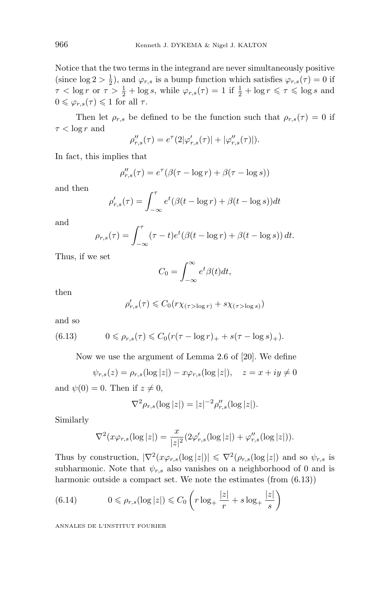Notice that the two terms in the integrand are never simultaneously positive (since  $\log 2 > \frac{1}{2}$ ), and  $\varphi_{r,s}$  is a bump function which satisfies  $\varphi_{r,s}(\tau) = 0$  if  $\tau < \log r$  or  $\tau > \frac{1}{2} + \log s$ , while  $\varphi_{r,s}(\tau) = 1$  if  $\frac{1}{2} + \log r \leq \tau \leq \log s$  and  $0 \leq \varphi_{r,s}(\tau) \leq 1$  for all  $\tau$ .

Then let  $\rho_{r,s}$  be defined to be the function such that  $\rho_{r,s}(\tau) = 0$  if  $\tau < \log r$  and

$$
\rho_{r,s}''(\tau) = e^{\tau} (2|\varphi_{r,s}'(\tau)| + |\varphi_{r,s}''(\tau)|).
$$

In fact, this implies that

$$
\rho_{r,s}''(\tau) = e^{\tau}(\beta(\tau - \log r) + \beta(\tau - \log s))
$$

and then

$$
\rho'_{r,s}(\tau) = \int_{-\infty}^{\tau} e^t (\beta(t - \log r) + \beta(t - \log s)) dt
$$

and

$$
\rho_{r,s}(\tau) = \int_{-\infty}^{\tau} (\tau - t) e^t (\beta (t - \log r) + \beta (t - \log s)) dt.
$$

Thus, if we set

$$
C_0 = \int_{-\infty}^{\infty} e^t \beta(t) dt,
$$

then

$$
\rho_{r,s}'(\tau) \leqslant C_0(r\chi_{(\tau > \log r)} + s\chi_{(\tau > \log s)})
$$

and so

(6.13) 
$$
0 \leq \rho_{r,s}(\tau) \leq C_0(r(\tau - \log r)_+ + s(\tau - \log s)_+).
$$

Now we use the argument of Lemma 2.6 of [20]. We define

$$
\psi_{r,s}(z) = \rho_{r,s}(\log|z|) - x\varphi_{r,s}(\log|z|), \quad z = x + iy \neq 0
$$

and  $\psi(0) = 0$ . Then if  $z \neq 0$ ,

$$
\nabla^2 \rho_{r,s}(\log|z|) = |z|^{-2} \rho_{r,s}''(\log|z|).
$$

Similarly

$$
\nabla^2(x\varphi_{r,s}(\log|z|)) = \frac{x}{|z|^2} (2\varphi_{r,s}'(\log|z|) + \varphi_{r,s}''(\log|z|)).
$$

Thus by construction,  $|\nabla^2(x\varphi_{r,s}(\log|z|))| \leq \nabla^2(\rho_{r,s}(\log|z|))$  and so  $\psi_{r,s}$  is subharmonic. Note that  $\psi_{r,s}$  also vanishes on a neighborhood of 0 and is harmonic outside a compact set. We note the estimates (from  $(6.13)$ )

(6.14) 
$$
0 \leqslant \rho_{r,s}(\log|z|) \leqslant C_0 \left( r \log_+ \frac{|z|}{r} + s \log_+ \frac{|z|}{s} \right)
$$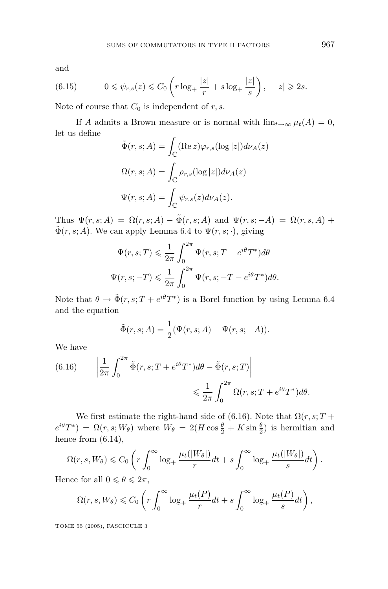and

(6.15) 
$$
0 \leqslant \psi_{r,s}(z) \leqslant C_0 \left( r \log_+ \frac{|z|}{r} + s \log_+ \frac{|z|}{s} \right), \quad |z| \geqslant 2s.
$$

Note of course that  $C_0$  is independent of  $r, s$ .

If *A* admits a Brown measure or is normal with  $\lim_{t\to\infty} \mu_t(A) = 0$ , let us define

$$
\tilde{\Phi}(r, s; A) = \int_{\mathbb{C}} (\text{Re } z) \varphi_{r,s}(\log |z|) d\nu_A(z)
$$

$$
\Omega(r, s; A) = \int_{\mathbb{C}} \rho_{r,s}(\log |z|) d\nu_A(z)
$$

$$
\Psi(r, s; A) = \int_{\mathbb{C}} \psi_{r,s}(z) d\nu_A(z).
$$

Thus  $\Psi(r, s; A) = \Omega(r, s; A) - \tilde{\Phi}(r, s; A)$  and  $\Psi(r, s; -A) = \Omega(r, s, A) +$  $\tilde{\Phi}(r, s; A)$ . We can apply Lemma 6.4 to  $\Psi(r, s; \cdot)$ , giving

$$
\Psi(r,s;T) \leq \frac{1}{2\pi} \int_0^{2\pi} \Psi(r,s;T + e^{i\theta}T^*)d\theta
$$
  

$$
\Psi(r,s;-T) \leq \frac{1}{2\pi} \int_0^{2\pi} \Psi(r,s;-T - e^{i\theta}T^*)d\theta.
$$

Note that  $\theta \to \tilde{\Phi}(r, s; T + e^{i\theta}T^*)$  is a Borel function by using Lemma 6.4 and the equation

$$
\tilde{\Phi}(r, s; A) = \frac{1}{2} (\Psi(r, s; A) - \Psi(r, s; -A)).
$$

We have

(6.16) 
$$
\left| \frac{1}{2\pi} \int_0^{2\pi} \tilde{\Phi}(r, s; T + e^{i\theta} T^*) d\theta - \tilde{\Phi}(r, s; T) \right|
$$

$$
\leq \frac{1}{2\pi} \int_0^{2\pi} \Omega(r, s; T + e^{i\theta} T^*) d\theta.
$$

We first estimate the right-hand side of (6.16). Note that  $\Omega(r, s; T +$  $e^{i\theta}T^*$ ) =  $\Omega(r, s; W_\theta)$  where  $W_\theta = 2(H \cos \frac{\theta}{2} + K \sin \frac{\theta}{2})$  is hermitian and hence from  $(6.14)$ ,

$$
\Omega(r,s,W_{\theta}) \leq C_0 \left( r \int_0^{\infty} \log_+ \frac{\mu_t(|W_{\theta}|)}{r} dt + s \int_0^{\infty} \log_+ \frac{\mu_t(|W_{\theta}|)}{s} dt \right).
$$

Hence for all  $0 \le \theta \le 2\pi$ ,

$$
\Omega(r,s,W_{\theta}) \leq C_0 \left( r \int_0^{\infty} \log_+ \frac{\mu_t(P)}{r} dt + s \int_0^{\infty} \log_+ \frac{\mu_t(P)}{s} dt \right),
$$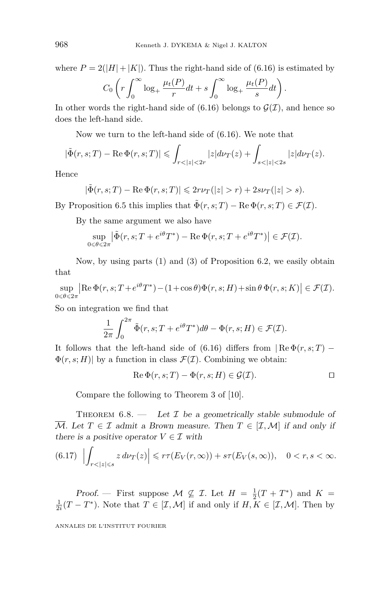where  $P = 2(|H| + |K|)$ . Thus the right-hand side of (6.16) is estimated by

$$
C_0 \left( r \int_0^\infty \log_+ \frac{\mu_t(P)}{r} dt + s \int_0^\infty \log_+ \frac{\mu_t(P)}{s} dt \right).
$$

In other words the right-hand side of  $(6.16)$  belongs to  $\mathcal{G}(\mathcal{I})$ , and hence so does the left-hand side.

Now we turn to the left-hand side of (6.16). We note that

$$
|\tilde{\Phi}(r, s; T) - \text{Re }\Phi(r, s; T)| \leq \int_{r < |z| < 2r} |z| d\nu_T(z) + \int_{s < |z| < 2s} |z| d\nu_T(z).
$$

Hence

$$
|\tilde{\Phi}(r,s;T) - \operatorname{Re}\Phi(r,s;T)| \leq 2r\nu_T(|z| > r) + 2s\nu_T(|z| > s).
$$

By Proposition 6.5 this implies that  $\tilde{\Phi}(r, s; T) - \text{Re}\,\Phi(r, s; T) \in \mathcal{F}(\mathcal{I})$ .

By the same argument we also have

$$
\sup_{0\leq \theta\leq 2\pi} \left| \tilde{\Phi}(r, s; T + e^{i\theta} T^*) - \text{Re}\,\Phi(r, s; T + e^{i\theta} T^*) \right| \in \mathcal{F}(\mathcal{I}).
$$

Now, by using parts (1) and (3) of Proposition 6.2, we easily obtain that

 $\sup_{s\in\mathcal{S}\leq 2\pi} \left|\text{Re }\Phi(r,s;T+e^{i\theta}T^*)-(1+\cos\theta)\Phi(r,s;H)+\sin\theta\,\Phi(r,s;K)\right| \in \mathcal{F}(\mathcal{I}).$  $0 \le \theta \le 2\pi$ 

So on integration we find that

$$
\frac{1}{2\pi} \int_0^{2\pi} \tilde{\Phi}(r, s; T + e^{i\theta} T^*) d\theta - \Phi(r, s; H) \in \mathcal{F}(\mathcal{I}).
$$

It follows that the left-hand side of (6.16) differs from  $\operatorname{Re} \Phi(r, s; T)$  −  $\Phi(r, s; H)$  by a function in class  $\mathcal{F}(\mathcal{I})$ . Combining we obtain:

$$
\operatorname{Re}\Phi(r,s;T)-\Phi(r,s;H)\in\mathcal{G}(\mathcal{I}).\qquad \qquad \Box
$$

Compare the following to Theorem 3 of [10].

THEOREM  $6.8.$  — Let  $\mathcal I$  be a geometrically stable submodule of  $\overline{\mathcal{M}}$ *.* Let  $T \in \mathcal{I}$  admit a Brown measure. Then  $T \in [\mathcal{I}, \mathcal{M}]$  if and only if *there is a positive operator*  $V \in \mathcal{I}$  *with* 

$$
(6.17) \left| \int_{r < |z| \leqslant s} z \, d\nu_T(z) \right| \leqslant r\tau(E_V(r,\infty)) + s\tau(E_V(s,\infty)), \quad 0 < r, s < \infty.
$$

*Proof.* — First suppose  $M \nsubseteq \mathcal{I}$ . Let  $H = \frac{1}{2}(T + T^*)$  and  $K = \frac{1}{2}(T - T^*)$ . Note that  $T \in [7, M]$  if and only if  $H K \in [7, M]$ . Then by  $\frac{1}{2i}(T-T^*)$ . Note that  $T \in [\mathcal{I}, \mathcal{M}]$  if and only if  $H, K \in [\mathcal{I}, \mathcal{M}]$ . Then by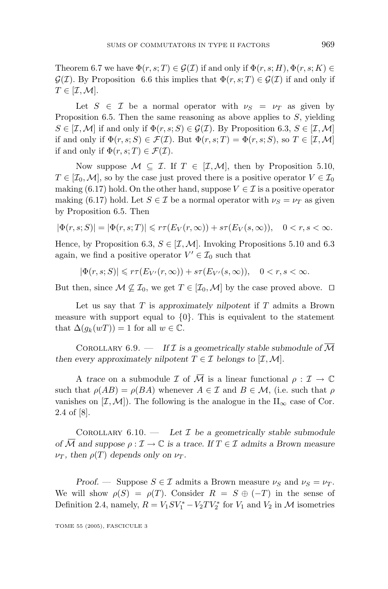Theorem 6.7 we have  $\Phi(r, s; T) \in \mathcal{G}(\mathcal{I})$  if and only if  $\Phi(r, s; H), \Phi(r, s; K) \in$  $\mathcal{G}(\mathcal{I})$ *.* By Proposition 6.6 this implies that  $\Phi(r, s; T) \in \mathcal{G}(\mathcal{I})$  if and only if  $T \in [\mathcal{I}, \mathcal{M}]$ *.* 

Let  $S \in \mathcal{I}$  be a normal operator with  $\nu_S = \nu_T$  as given by Proposition 6.5. Then the same reasoning as above applies to *S*, yielding  $S \in [\mathcal{I}, \mathcal{M}]$  if and only if  $\Phi(r, s; S) \in \mathcal{G}(\mathcal{I})$ . By Proposition 6.3,  $S \in [\mathcal{I}, \mathcal{M}]$ if and only if  $\Phi(r, s; S) \in \mathcal{F}(\mathcal{I})$ . But  $\Phi(r, s; T) = \Phi(r, s; S)$ , so  $T \in [\mathcal{I}, \mathcal{M}]$ if and only if  $\Phi(r, s; T) \in \mathcal{F}(\mathcal{I})$ .

Now suppose  $M \subseteq \mathcal{I}$ . If  $T \in [\mathcal{I}, \mathcal{M}]$ , then by Proposition 5.10,  $T \in [\mathcal{I}_0, \mathcal{M}]$ , so by the case just proved there is a positive operator  $V \in \mathcal{I}_0$ making (6.17) hold. On the other hand, suppose  $V \in \mathcal{I}$  is a positive operator making (6.17) hold. Let  $S \in \mathcal{I}$  be a normal operator with  $\nu_S = \nu_T$  as given by Proposition 6.5. Then

$$
|\Phi(r,s;S)|=|\Phi(r,s;T)|\leqslant r\tau(E_V(r,\infty))+s\tau(E_V(s,\infty)),\quad 0
$$

Hence, by Proposition 6.3,  $S \in [\mathcal{I}, \mathcal{M}]$ . Invoking Propositions 5.10 and 6.3 again, we find a positive operator  $V' \in \mathcal{I}_0$  such that

$$
|\Phi(r,s;S)|\leqslant r\tau(E_{V'}(r,\infty))+s\tau(E_{V'}(s,\infty)),\quad 0
$$

But then, since  $M \nsubseteq \mathcal{I}_0$ , we get  $T \in [\mathcal{I}_0, \mathcal{M}]$  by the case proved above.  $\Box$ 

Let us say that *T* is *approximately nilpotent* if *T* admits a Brown measure with support equal to  $\{0\}$ . This is equivalent to the statement that  $\Delta(g_k(wT)) = 1$  for all  $w \in \mathbb{C}$ .

COROLLARY  $6.9.$  — *If*  $I$  *is a geometrically stable submodule of*  $\overline{M}$ *then every approximately nilpotent*  $T \in \mathcal{I}$  *belongs to*  $[\mathcal{I}, \mathcal{M}]$ *.* 

A *trace* on a submodule  $\mathcal I$  of  $\overline{\mathcal M}$  is a linear functional  $\rho : \mathcal I \to \mathbb C$ such that  $\rho(AB) = \rho(BA)$  whenever  $A \in \mathcal{I}$  and  $B \in \mathcal{M}$ , (i.e. such that  $\rho$ vanishes on  $[\mathcal{I}, \mathcal{M}]$ ). The following is the analogue in the  $\prod_{\infty}$  case of Cor. 2.4 of [8].

COROLLARY  $6.10.$  — Let  $\mathcal I$  be a geometrically stable submodule *of*  $\overline{M}$  *and suppose*  $\rho : \mathcal{I} \to \mathbb{C}$  *is a trace. If*  $T \in \mathcal{I}$  *admits a Brown measure*  $\nu_T$ *, then*  $\rho(T)$  *depends only on*  $\nu_T$ *.* 

*Proof.* — Suppose  $S \in \mathcal{I}$  admits a Brown measure  $\nu_S$  and  $\nu_S = \nu_T$ . We will show  $\rho(S) = \rho(T)$ . Consider  $R = S \oplus (-T)$  in the sense of Definition 2.4, namely,  $R = V_1 S V_1^* - V_2 T V_2^*$  for  $V_1$  and  $V_2$  in  $M$  isometries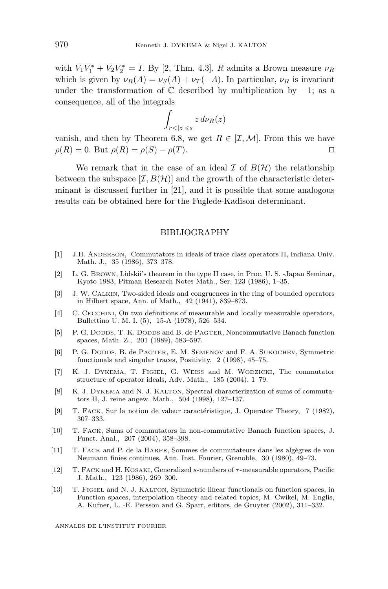with  $V_1 V_1^* + V_2 V_2^* = I$ . By [2, Thm. 4.3], *R* admits a Brown measure  $\nu_R$ which is given by  $\nu_R(A) = \nu_S(A) + \nu_T(-A)$ . In particular,  $\nu_R$  is invariant under the transformation of  $\mathbb C$  described by multiplication by  $-1$ ; as a consequence, all of the integrals

$$
\int_{r<|z|\leqslant s}z\,d\nu_R(z)
$$

vanish, and then by Theorem 6.8, we get  $R \in [\mathcal{I}, \mathcal{M}]$ . From this we have  $\rho(R) = 0$ . But  $\rho(R) = \rho(S) - \rho(T)$ .

We remark that in the case of an ideal  $\mathcal I$  of  $B(\mathcal H)$  the relationship between the subspace  $[\mathcal{I}, B(\mathcal{H})]$  and the growth of the characteristic determinant is discussed further in [21], and it is possible that some analogous results can be obtained here for the Fuglede-Kadison determinant.

#### BIBLIOGRAPHY

- [1] J.H. ANDERSON, Commutators in ideals of trace class operators II, Indiana Univ. Math. J., 35 (1986), 373–378.
- [2] L. G. BROWN, Lidskii's theorem in the type II case, in Proc. U. S. -Japan Seminar, Kyoto 1983, Pitman Research Notes Math., Ser. 123 (1986), 1–35.
- [3] J. W. CALKIN, Two-sided ideals and congruences in the ring of bounded operators in Hilbert space, Ann. of Math., 42 (1941), 839–873.
- [4] C. CECCHINI, On two definitions of measurable and locally measurable operators, Bullettino U. M. I. (5), 15-A (1978), 526–534.
- [5] P. G. DODDS, T. K. DODDS and B. de PAGTER, Noncommutative Banach function spaces, Math. Z., 201 (1989), 583–597.
- [6] P. G. DODDS, B. de PAGTER, E. M. SEMENOV and F. A. SUKOCHEV, Symmetric functionals and singular traces, Positivity, 2 (1998), 45–75.
- [7] K. J. DYKEMA, T. FIGIEL, G. WEISS and M. WODZICKI, The commutator structure of operator ideals, Adv. Math., 185 (2004), 1–79.
- [8] K. J. DYKEMA and N. J. KALTON, Spectral characterization of sums of commutators II, J. reine angew. Math., 504 (1998), 127–137.
- [9] T. FACK, Sur la notion de valeur caractéristique, J. Operator Theory, 7 (1982), 307–333.
- [10] T. FACK, Sums of commutators in non-commutative Banach function spaces, J. Funct. Anal., 207 (2004), 358–398.
- [11] T. FACK and P. de la HARPE, Sommes de commutateurs dans les algègres de von Neumann finies continues, Ann. Inst. Fourier, Grenoble, 30 (1980), 49–73.
- [12] T. FACK and H. KOSAKI, Generalized s-numbers of τ-measurable operators, Pacific J. Math., 123 (1986), 269–300.
- [13] T. FIGIEL and N. J. KALTON, Symmetric linear functionals on function spaces, in Function spaces, interpolation theory and related topics, M. Cwikel, M. Englis, A. Kufner, L. -E. Persson and G. Sparr, editors, de Gruyter (2002), 311–332.